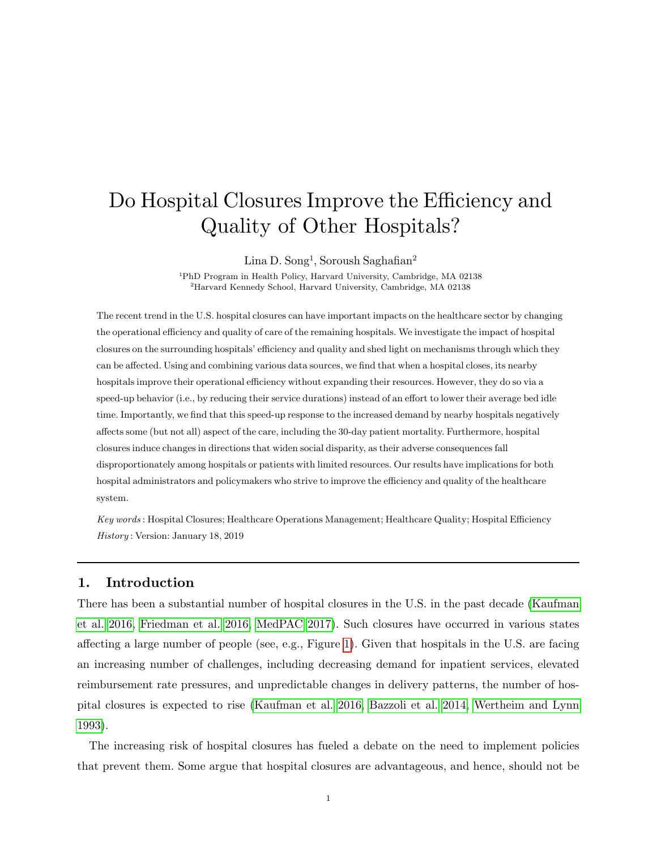# Do Hospital Closures Improve the Efficiency and Quality of Other Hospitals?

Lina D. Song<sup>1</sup>, Soroush Saghafian<sup>2</sup>

<sup>1</sup>PhD Program in Health Policy, Harvard University, Cambridge, MA 02138 <sup>2</sup>Harvard Kennedy School, Harvard University, Cambridge, MA 02138

The recent trend in the U.S. hospital closures can have important impacts on the healthcare sector by changing the operational efficiency and quality of care of the remaining hospitals. We investigate the impact of hospital closures on the surrounding hospitals' efficiency and quality and shed light on mechanisms through which they can be affected. Using and combining various data sources, we find that when a hospital closes, its nearby hospitals improve their operational efficiency without expanding their resources. However, they do so via a speed-up behavior (i.e., by reducing their service durations) instead of an effort to lower their average bed idle time. Importantly, we find that this speed-up response to the increased demand by nearby hospitals negatively affects some (but not all) aspect of the care, including the 30-day patient mortality. Furthermore, hospital closures induce changes in directions that widen social disparity, as their adverse consequences fall disproportionately among hospitals or patients with limited resources. Our results have implications for both hospital administrators and policymakers who strive to improve the efficiency and quality of the healthcare system.

Key words : Hospital Closures; Healthcare Operations Management; Healthcare Quality; Hospital Efficiency History : Version: January 18, 2019

## 1. Introduction

There has been a substantial number of hospital closures in the U.S. in the past decade [\(Kaufman](#page-31-0) [et al. 2016,](#page-31-0) [Friedman et al. 2016,](#page-31-1) [MedPAC 2017\)](#page-32-0). Such closures have occurred in various states affecting a large number of people (see, e.g., Figure [1\)](#page-1-0). Given that hospitals in the U.S. are facing an increasing number of challenges, including decreasing demand for inpatient services, elevated reimbursement rate pressures, and unpredictable changes in delivery patterns, the number of hospital closures is expected to rise [\(Kaufman et al. 2016,](#page-31-0) [Bazzoli et al. 2014,](#page-30-0) [Wertheim and Lynn](#page-32-1) [1993\)](#page-32-1).

The increasing risk of hospital closures has fueled a debate on the need to implement policies that prevent them. Some argue that hospital closures are advantageous, and hence, should not be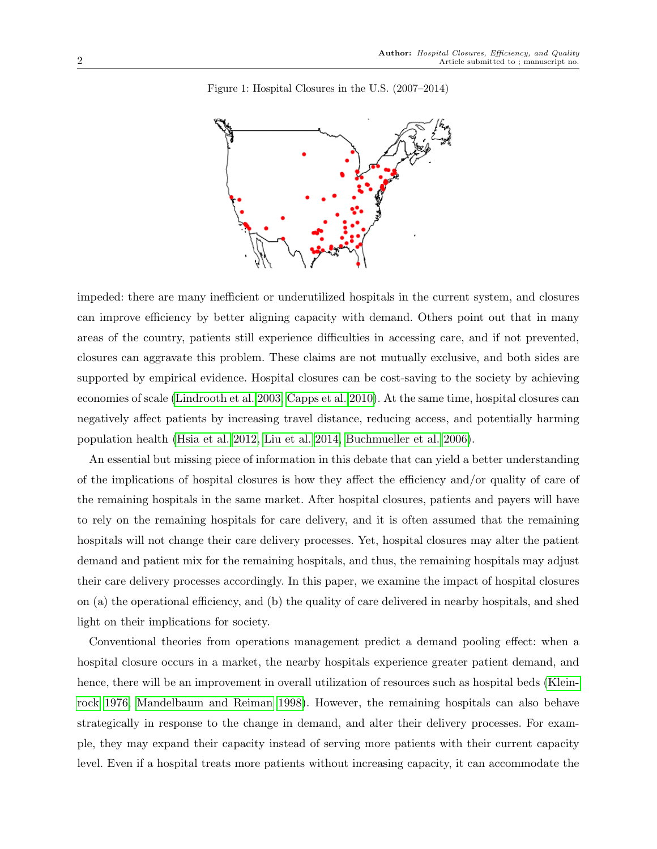<span id="page-1-0"></span>Figure 1: Hospital Closures in the U.S. (2007–2014)



impeded: there are many inefficient or underutilized hospitals in the current system, and closures can improve efficiency by better aligning capacity with demand. Others point out that in many areas of the country, patients still experience difficulties in accessing care, and if not prevented, closures can aggravate this problem. These claims are not mutually exclusive, and both sides are supported by empirical evidence. Hospital closures can be cost-saving to the society by achieving economies of scale [\(Lindrooth et al. 2003,](#page-32-2) [Capps et al. 2010\)](#page-31-2). At the same time, hospital closures can negatively affect patients by increasing travel distance, reducing access, and potentially harming population health [\(Hsia et al. 2012,](#page-31-3) [Liu et al. 2014,](#page-32-3) [Buchmueller et al. 2006\)](#page-30-1).

An essential but missing piece of information in this debate that can yield a better understanding of the implications of hospital closures is how they affect the efficiency and/or quality of care of the remaining hospitals in the same market. After hospital closures, patients and payers will have to rely on the remaining hospitals for care delivery, and it is often assumed that the remaining hospitals will not change their care delivery processes. Yet, hospital closures may alter the patient demand and patient mix for the remaining hospitals, and thus, the remaining hospitals may adjust their care delivery processes accordingly. In this paper, we examine the impact of hospital closures on (a) the operational efficiency, and (b) the quality of care delivered in nearby hospitals, and shed light on their implications for society.

Conventional theories from operations management predict a demand pooling effect: when a hospital closure occurs in a market, the nearby hospitals experience greater patient demand, and hence, there will be an improvement in overall utilization of resources such as hospital beds [\(Klein](#page-31-4)[rock 1976,](#page-31-4) [Mandelbaum and Reiman 1998\)](#page-32-4). However, the remaining hospitals can also behave strategically in response to the change in demand, and alter their delivery processes. For example, they may expand their capacity instead of serving more patients with their current capacity level. Even if a hospital treats more patients without increasing capacity, it can accommodate the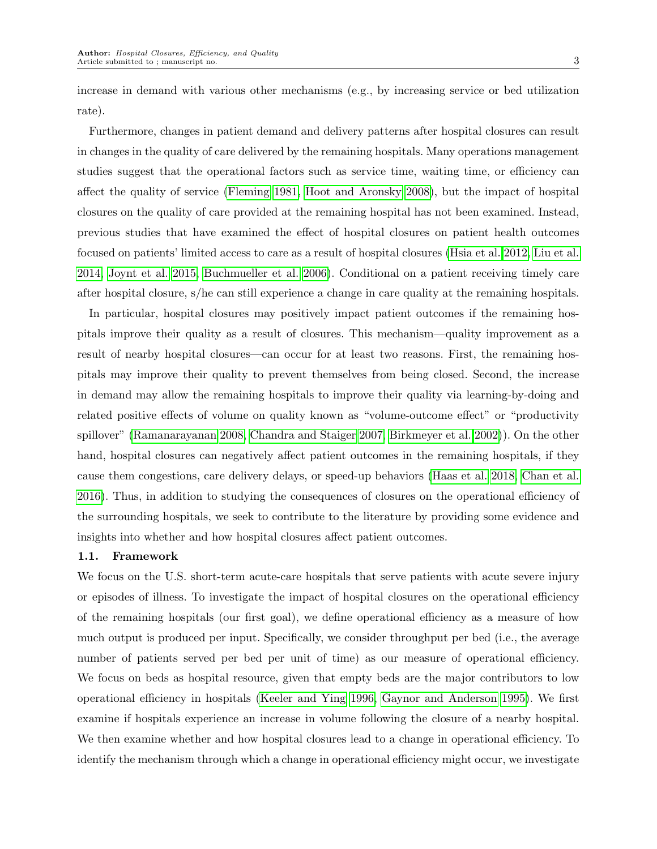increase in demand with various other mechanisms (e.g., by increasing service or bed utilization rate).

Furthermore, changes in patient demand and delivery patterns after hospital closures can result in changes in the quality of care delivered by the remaining hospitals. Many operations management studies suggest that the operational factors such as service time, waiting time, or efficiency can affect the quality of service [\(Fleming 1981,](#page-31-5) [Hoot and Aronsky 2008\)](#page-31-6), but the impact of hospital closures on the quality of care provided at the remaining hospital has not been examined. Instead, previous studies that have examined the effect of hospital closures on patient health outcomes focused on patients' limited access to care as a result of hospital closures [\(Hsia et al. 2012,](#page-31-3) [Liu et al.](#page-32-3) [2014,](#page-32-3) [Joynt et al. 2015,](#page-31-7) [Buchmueller et al. 2006\)](#page-30-1). Conditional on a patient receiving timely care after hospital closure, s/he can still experience a change in care quality at the remaining hospitals.

In particular, hospital closures may positively impact patient outcomes if the remaining hospitals improve their quality as a result of closures. This mechanism—quality improvement as a result of nearby hospital closures—can occur for at least two reasons. First, the remaining hospitals may improve their quality to prevent themselves from being closed. Second, the increase in demand may allow the remaining hospitals to improve their quality via learning-by-doing and related positive effects of volume on quality known as "volume-outcome effect" or "productivity spillover" [\(Ramanarayanan 2008,](#page-32-5) [Chandra and Staiger 2007,](#page-31-8) [Birkmeyer et al. 2002\)](#page-30-2)). On the other hand, hospital closures can negatively affect patient outcomes in the remaining hospitals, if they cause them congestions, care delivery delays, or speed-up behaviors [\(Haas et al. 2018,](#page-31-9) [Chan et al.](#page-31-10) [2016\)](#page-31-10). Thus, in addition to studying the consequences of closures on the operational efficiency of the surrounding hospitals, we seek to contribute to the literature by providing some evidence and insights into whether and how hospital closures affect patient outcomes.

#### 1.1. Framework

We focus on the U.S. short-term acute-care hospitals that serve patients with acute severe injury or episodes of illness. To investigate the impact of hospital closures on the operational efficiency of the remaining hospitals (our first goal), we define operational efficiency as a measure of how much output is produced per input. Specifically, we consider throughput per bed (i.e., the average number of patients served per bed per unit of time) as our measure of operational efficiency. We focus on beds as hospital resource, given that empty beds are the major contributors to low operational efficiency in hospitals [\(Keeler and Ying 1996,](#page-31-11) [Gaynor and Anderson 1995\)](#page-31-12). We first examine if hospitals experience an increase in volume following the closure of a nearby hospital. We then examine whether and how hospital closures lead to a change in operational efficiency. To identify the mechanism through which a change in operational efficiency might occur, we investigate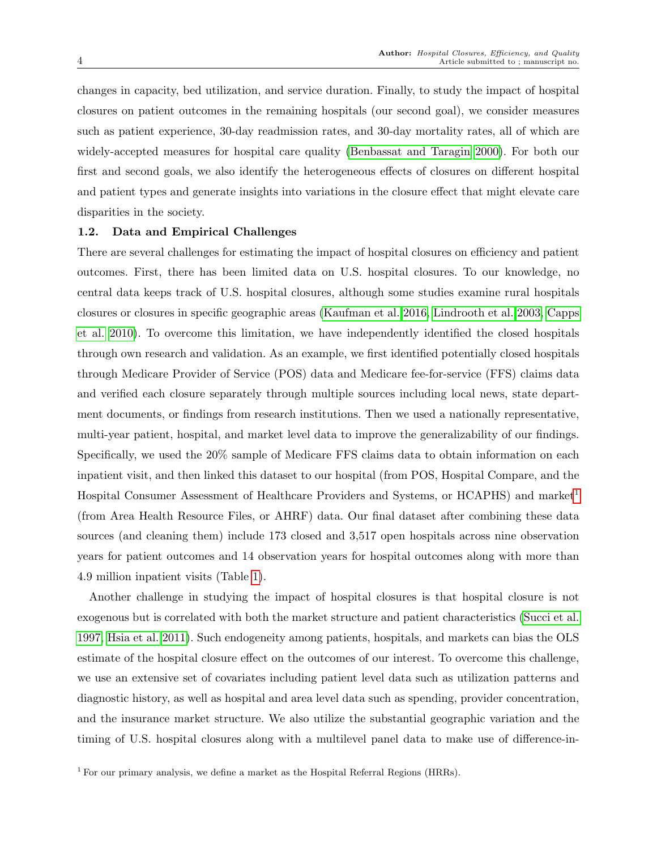changes in capacity, bed utilization, and service duration. Finally, to study the impact of hospital closures on patient outcomes in the remaining hospitals (our second goal), we consider measures such as patient experience, 30-day readmission rates, and 30-day mortality rates, all of which are widely-accepted measures for hospital care quality [\(Benbassat and Taragin 2000\)](#page-30-3). For both our first and second goals, we also identify the heterogeneous effects of closures on different hospital and patient types and generate insights into variations in the closure effect that might elevate care disparities in the society.

## 1.2. Data and Empirical Challenges

There are several challenges for estimating the impact of hospital closures on efficiency and patient outcomes. First, there has been limited data on U.S. hospital closures. To our knowledge, no central data keeps track of U.S. hospital closures, although some studies examine rural hospitals closures or closures in specific geographic areas [\(Kaufman et al. 2016,](#page-31-0) [Lindrooth et al. 2003,](#page-32-2) [Capps](#page-31-2) [et al. 2010\)](#page-31-2). To overcome this limitation, we have independently identified the closed hospitals through own research and validation. As an example, we first identified potentially closed hospitals through Medicare Provider of Service (POS) data and Medicare fee-for-service (FFS) claims data and verified each closure separately through multiple sources including local news, state department documents, or findings from research institutions. Then we used a nationally representative, multi-year patient, hospital, and market level data to improve the generalizability of our findings. Specifically, we used the 20% sample of Medicare FFS claims data to obtain information on each inpatient visit, and then linked this dataset to our hospital (from POS, Hospital Compare, and the Hospital Consumer Assessment of Healthcare Providers and Systems, or HCAPHS) and market<sup>[1](#page-3-0)</sup> (from Area Health Resource Files, or AHRF) data. Our final dataset after combining these data sources (and cleaning them) include 173 closed and 3,517 open hospitals across nine observation years for patient outcomes and 14 observation years for hospital outcomes along with more than 4.9 million inpatient visits (Table [1\)](#page-4-0).

Another challenge in studying the impact of hospital closures is that hospital closure is not exogenous but is correlated with both the market structure and patient characteristics [\(Succi et al.](#page-32-6) [1997,](#page-32-6) [Hsia et al. 2011\)](#page-31-13). Such endogeneity among patients, hospitals, and markets can bias the OLS estimate of the hospital closure effect on the outcomes of our interest. To overcome this challenge, we use an extensive set of covariates including patient level data such as utilization patterns and diagnostic history, as well as hospital and area level data such as spending, provider concentration, and the insurance market structure. We also utilize the substantial geographic variation and the timing of U.S. hospital closures along with a multilevel panel data to make use of difference-in-

<span id="page-3-0"></span><sup>1</sup> For our primary analysis, we define a market as the Hospital Referral Regions (HRRs).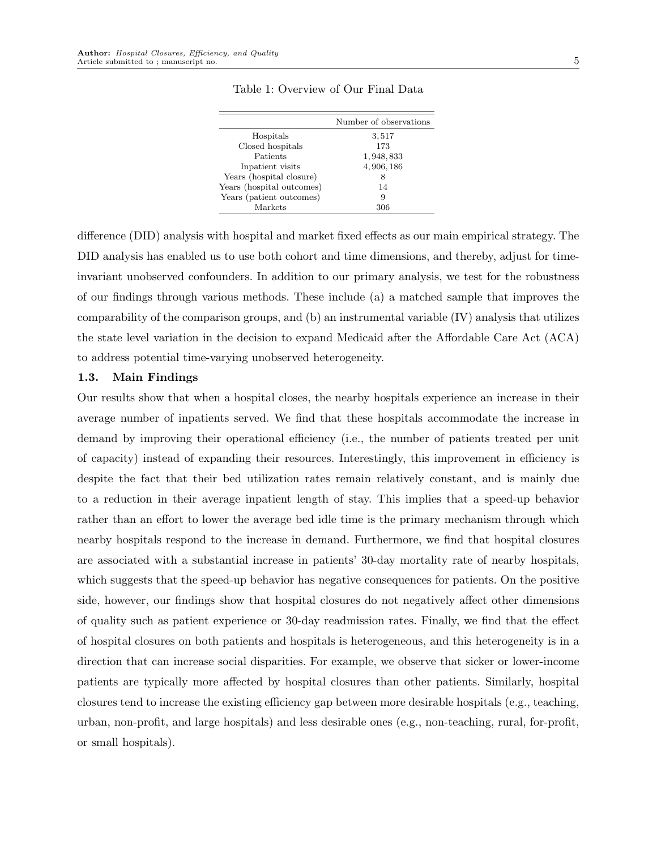|                           | Number of observations |
|---------------------------|------------------------|
| Hospitals                 | 3,517                  |
| Closed hospitals          | 173                    |
| Patients                  | 1,948,833              |
| Inpatient visits          | 4,906,186              |
| Years (hospital closure)  | 8                      |
| Years (hospital outcomes) | 14                     |
| Years (patient outcomes)  | 9                      |
| Markets                   | 306                    |

Table 1: Overview of Our Final Data

<span id="page-4-0"></span>difference (DID) analysis with hospital and market fixed effects as our main empirical strategy. The DID analysis has enabled us to use both cohort and time dimensions, and thereby, adjust for timeinvariant unobserved confounders. In addition to our primary analysis, we test for the robustness of our findings through various methods. These include (a) a matched sample that improves the comparability of the comparison groups, and (b) an instrumental variable (IV) analysis that utilizes the state level variation in the decision to expand Medicaid after the Affordable Care Act (ACA) to address potential time-varying unobserved heterogeneity.

#### 1.3. Main Findings

Our results show that when a hospital closes, the nearby hospitals experience an increase in their average number of inpatients served. We find that these hospitals accommodate the increase in demand by improving their operational efficiency (i.e., the number of patients treated per unit of capacity) instead of expanding their resources. Interestingly, this improvement in efficiency is despite the fact that their bed utilization rates remain relatively constant, and is mainly due to a reduction in their average inpatient length of stay. This implies that a speed-up behavior rather than an effort to lower the average bed idle time is the primary mechanism through which nearby hospitals respond to the increase in demand. Furthermore, we find that hospital closures are associated with a substantial increase in patients' 30-day mortality rate of nearby hospitals, which suggests that the speed-up behavior has negative consequences for patients. On the positive side, however, our findings show that hospital closures do not negatively affect other dimensions of quality such as patient experience or 30-day readmission rates. Finally, we find that the effect of hospital closures on both patients and hospitals is heterogeneous, and this heterogeneity is in a direction that can increase social disparities. For example, we observe that sicker or lower-income patients are typically more affected by hospital closures than other patients. Similarly, hospital closures tend to increase the existing efficiency gap between more desirable hospitals (e.g., teaching, urban, non-profit, and large hospitals) and less desirable ones (e.g., non-teaching, rural, for-profit, or small hospitals).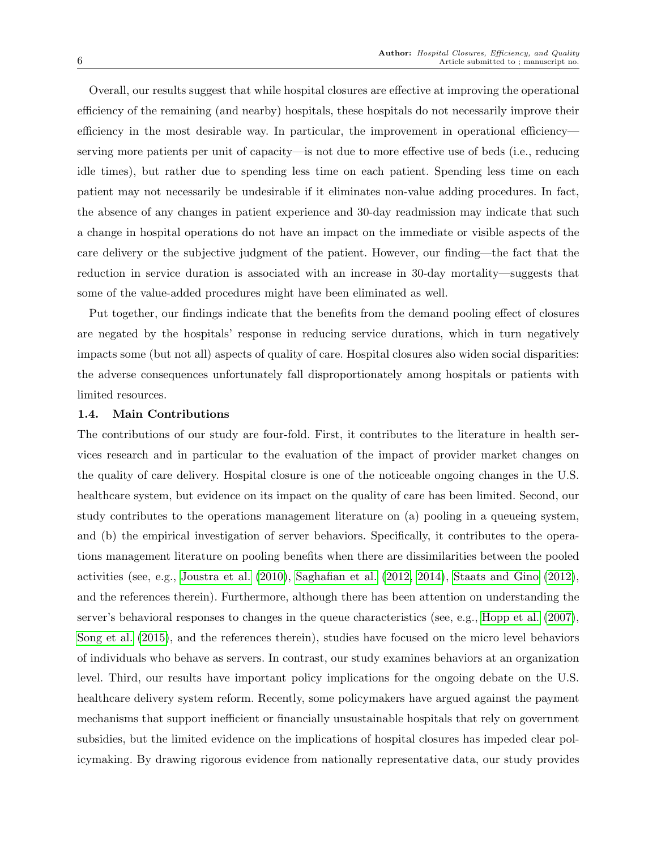Overall, our results suggest that while hospital closures are effective at improving the operational efficiency of the remaining (and nearby) hospitals, these hospitals do not necessarily improve their efficiency in the most desirable way. In particular, the improvement in operational efficiency serving more patients per unit of capacity—is not due to more effective use of beds (i.e., reducing idle times), but rather due to spending less time on each patient. Spending less time on each patient may not necessarily be undesirable if it eliminates non-value adding procedures. In fact, the absence of any changes in patient experience and 30-day readmission may indicate that such a change in hospital operations do not have an impact on the immediate or visible aspects of the care delivery or the subjective judgment of the patient. However, our finding—the fact that the reduction in service duration is associated with an increase in 30-day mortality—suggests that some of the value-added procedures might have been eliminated as well.

Put together, our findings indicate that the benefits from the demand pooling effect of closures are negated by the hospitals' response in reducing service durations, which in turn negatively impacts some (but not all) aspects of quality of care. Hospital closures also widen social disparities: the adverse consequences unfortunately fall disproportionately among hospitals or patients with limited resources.

### 1.4. Main Contributions

The contributions of our study are four-fold. First, it contributes to the literature in health services research and in particular to the evaluation of the impact of provider market changes on the quality of care delivery. Hospital closure is one of the noticeable ongoing changes in the U.S. healthcare system, but evidence on its impact on the quality of care has been limited. Second, our study contributes to the operations management literature on (a) pooling in a queueing system, and (b) the empirical investigation of server behaviors. Specifically, it contributes to the operations management literature on pooling benefits when there are dissimilarities between the pooled activities (see, e.g., [Joustra et al.](#page-31-14) [\(2010\)](#page-31-14), [Saghafian et al.](#page-32-7) [\(2012,](#page-32-7) [2014\)](#page-32-8), [Staats and Gino](#page-32-9) [\(2012\)](#page-32-9), and the references therein). Furthermore, although there has been attention on understanding the server's behavioral responses to changes in the queue characteristics (see, e.g., [Hopp et al.](#page-31-15) [\(2007\)](#page-31-15), [Song et al.](#page-32-10) [\(2015\)](#page-32-10), and the references therein), studies have focused on the micro level behaviors of individuals who behave as servers. In contrast, our study examines behaviors at an organization level. Third, our results have important policy implications for the ongoing debate on the U.S. healthcare delivery system reform. Recently, some policymakers have argued against the payment mechanisms that support inefficient or financially unsustainable hospitals that rely on government subsidies, but the limited evidence on the implications of hospital closures has impeded clear policymaking. By drawing rigorous evidence from nationally representative data, our study provides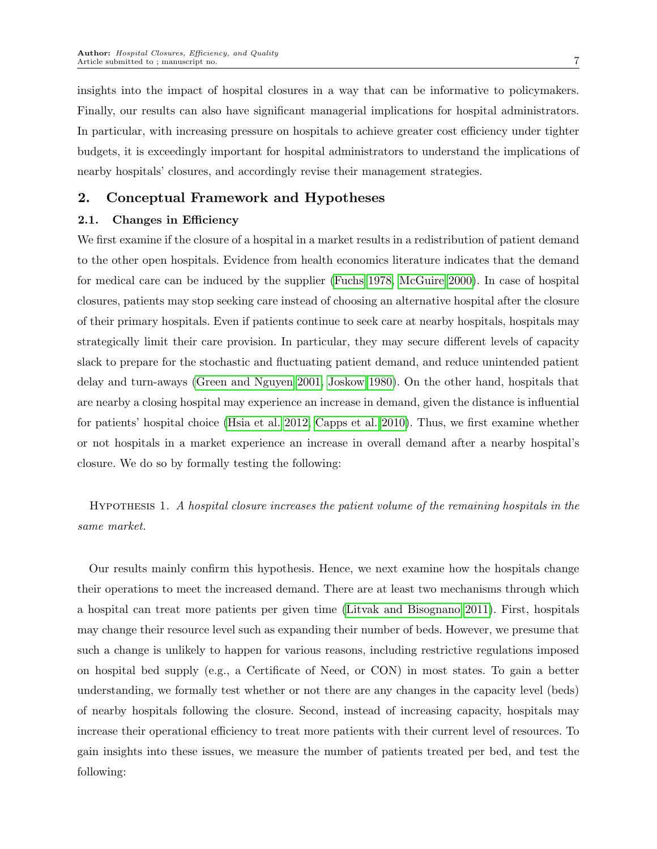insights into the impact of hospital closures in a way that can be informative to policymakers. Finally, our results can also have significant managerial implications for hospital administrators. In particular, with increasing pressure on hospitals to achieve greater cost efficiency under tighter budgets, it is exceedingly important for hospital administrators to understand the implications of nearby hospitals' closures, and accordingly revise their management strategies.

## 2. Conceptual Framework and Hypotheses

## 2.1. Changes in Efficiency

We first examine if the closure of a hospital in a market results in a redistribution of patient demand to the other open hospitals. Evidence from health economics literature indicates that the demand for medical care can be induced by the supplier [\(Fuchs 1978,](#page-31-16) [McGuire 2000\)](#page-32-11). In case of hospital closures, patients may stop seeking care instead of choosing an alternative hospital after the closure of their primary hospitals. Even if patients continue to seek care at nearby hospitals, hospitals may strategically limit their care provision. In particular, they may secure different levels of capacity slack to prepare for the stochastic and fluctuating patient demand, and reduce unintended patient delay and turn-aways [\(Green and Nguyen 2001,](#page-31-17) [Joskow 1980\)](#page-31-18). On the other hand, hospitals that are nearby a closing hospital may experience an increase in demand, given the distance is influential for patients' hospital choice [\(Hsia et al. 2012,](#page-31-3) [Capps et al. 2010\)](#page-31-2). Thus, we first examine whether or not hospitals in a market experience an increase in overall demand after a nearby hospital's closure. We do so by formally testing the following:

## Hypothesis 1. A hospital closure increases the patient volume of the remaining hospitals in the same market.

Our results mainly confirm this hypothesis. Hence, we next examine how the hospitals change their operations to meet the increased demand. There are at least two mechanisms through which a hospital can treat more patients per given time [\(Litvak and Bisognano 2011\)](#page-32-12). First, hospitals may change their resource level such as expanding their number of beds. However, we presume that such a change is unlikely to happen for various reasons, including restrictive regulations imposed on hospital bed supply (e.g., a Certificate of Need, or CON) in most states. To gain a better understanding, we formally test whether or not there are any changes in the capacity level (beds) of nearby hospitals following the closure. Second, instead of increasing capacity, hospitals may increase their operational efficiency to treat more patients with their current level of resources. To gain insights into these issues, we measure the number of patients treated per bed, and test the following: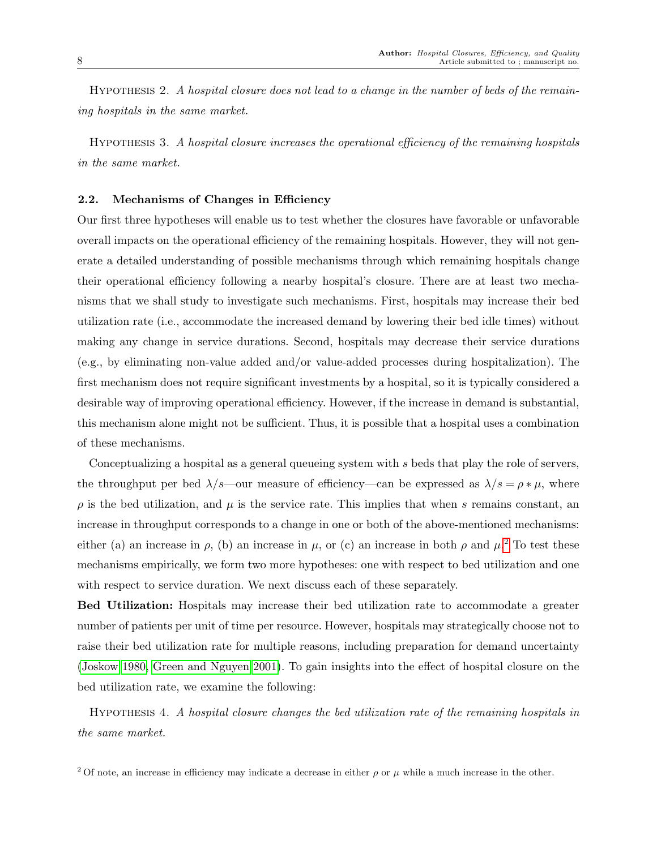Hypothesis 2. A hospital closure does not lead to a change in the number of beds of the remaining hospitals in the same market.

Hypothesis 3. A hospital closure increases the operational efficiency of the remaining hospitals in the same market.

### 2.2. Mechanisms of Changes in Efficiency

Our first three hypotheses will enable us to test whether the closures have favorable or unfavorable overall impacts on the operational efficiency of the remaining hospitals. However, they will not generate a detailed understanding of possible mechanisms through which remaining hospitals change their operational efficiency following a nearby hospital's closure. There are at least two mechanisms that we shall study to investigate such mechanisms. First, hospitals may increase their bed utilization rate (i.e., accommodate the increased demand by lowering their bed idle times) without making any change in service durations. Second, hospitals may decrease their service durations (e.g., by eliminating non-value added and/or value-added processes during hospitalization). The first mechanism does not require significant investments by a hospital, so it is typically considered a desirable way of improving operational efficiency. However, if the increase in demand is substantial, this mechanism alone might not be sufficient. Thus, it is possible that a hospital uses a combination of these mechanisms.

Conceptualizing a hospital as a general queueing system with s beds that play the role of servers, the throughput per bed  $\lambda/s$ —our measure of efficiency—can be expressed as  $\lambda/s = \rho * \mu$ , where  $\rho$  is the bed utilization, and  $\mu$  is the service rate. This implies that when s remains constant, an increase in throughput corresponds to a change in one or both of the above-mentioned mechanisms: either (a) an increase in  $\rho$ , (b) an increase in  $\mu$ , or (c) an increase in both  $\rho$  and  $\mu$ <sup>[2](#page-7-0)</sup>. To test these mechanisms empirically, we form two more hypotheses: one with respect to bed utilization and one with respect to service duration. We next discuss each of these separately.

Bed Utilization: Hospitals may increase their bed utilization rate to accommodate a greater number of patients per unit of time per resource. However, hospitals may strategically choose not to raise their bed utilization rate for multiple reasons, including preparation for demand uncertainty [\(Joskow 1980,](#page-31-18) [Green and Nguyen 2001\)](#page-31-17). To gain insights into the effect of hospital closure on the bed utilization rate, we examine the following:

Hypothesis 4. A hospital closure changes the bed utilization rate of the remaining hospitals in the same market.

<span id="page-7-0"></span><sup>&</sup>lt;sup>2</sup> Of note, an increase in efficiency may indicate a decrease in either  $\rho$  or  $\mu$  while a much increase in the other.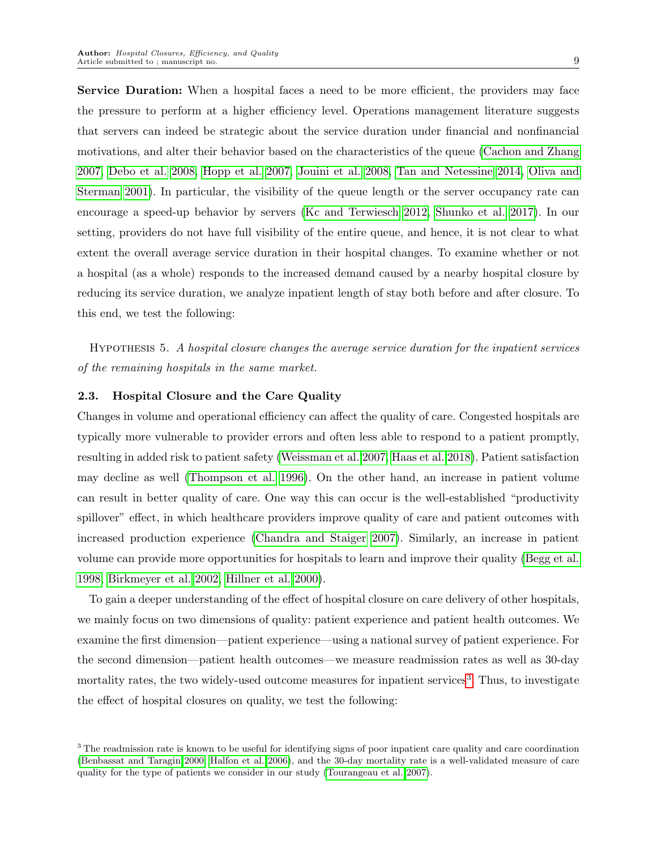Service Duration: When a hospital faces a need to be more efficient, the providers may face the pressure to perform at a higher efficiency level. Operations management literature suggests that servers can indeed be strategic about the service duration under financial and nonfinancial motivations, and alter their behavior based on the characteristics of the queue [\(Cachon and Zhang](#page-30-4) [2007,](#page-30-4) [Debo et al. 2008,](#page-31-19) [Hopp et al. 2007,](#page-31-15) [Jouini et al. 2008,](#page-31-20) [Tan and Netessine 2014,](#page-32-13) [Oliva and](#page-32-14) [Sterman 2001\)](#page-32-14). In particular, the visibility of the queue length or the server occupancy rate can encourage a speed-up behavior by servers [\(Kc and Terwiesch 2012,](#page-31-21) [Shunko et al. 2017\)](#page-32-15). In our setting, providers do not have full visibility of the entire queue, and hence, it is not clear to what extent the overall average service duration in their hospital changes. To examine whether or not a hospital (as a whole) responds to the increased demand caused by a nearby hospital closure by reducing its service duration, we analyze inpatient length of stay both before and after closure. To this end, we test the following:

Hypothesis 5. A hospital closure changes the average service duration for the inpatient services of the remaining hospitals in the same market.

## 2.3. Hospital Closure and the Care Quality

Changes in volume and operational efficiency can affect the quality of care. Congested hospitals are typically more vulnerable to provider errors and often less able to respond to a patient promptly, resulting in added risk to patient safety [\(Weissman et al. 2007,](#page-32-16) [Haas et al. 2018\)](#page-31-9). Patient satisfaction may decline as well [\(Thompson et al. 1996\)](#page-32-17). On the other hand, an increase in patient volume can result in better quality of care. One way this can occur is the well-established "productivity spillover" effect, in which healthcare providers improve quality of care and patient outcomes with increased production experience [\(Chandra and Staiger 2007\)](#page-31-8). Similarly, an increase in patient volume can provide more opportunities for hospitals to learn and improve their quality [\(Begg et al.](#page-30-5) [1998,](#page-30-5) [Birkmeyer et al. 2002,](#page-30-2) [Hillner et al. 2000\)](#page-31-22).

To gain a deeper understanding of the effect of hospital closure on care delivery of other hospitals, we mainly focus on two dimensions of quality: patient experience and patient health outcomes. We examine the first dimension—patient experience—using a national survey of patient experience. For the second dimension—patient health outcomes—we measure readmission rates as well as 30-day mortality rates, the two widely-used outcome measures for inpatient services<sup>[3](#page-8-0)</sup>. Thus, to investigate the effect of hospital closures on quality, we test the following:

<span id="page-8-0"></span><sup>&</sup>lt;sup>3</sup> The readmission rate is known to be useful for identifying signs of poor inpatient care quality and care coordination [\(Benbassat and Taragin 2000,](#page-30-3) [Halfon et al. 2006\)](#page-31-23), and the 30-day mortality rate is a well-validated measure of care quality for the type of patients we consider in our study [\(Tourangeau et al. 2007\)](#page-32-18).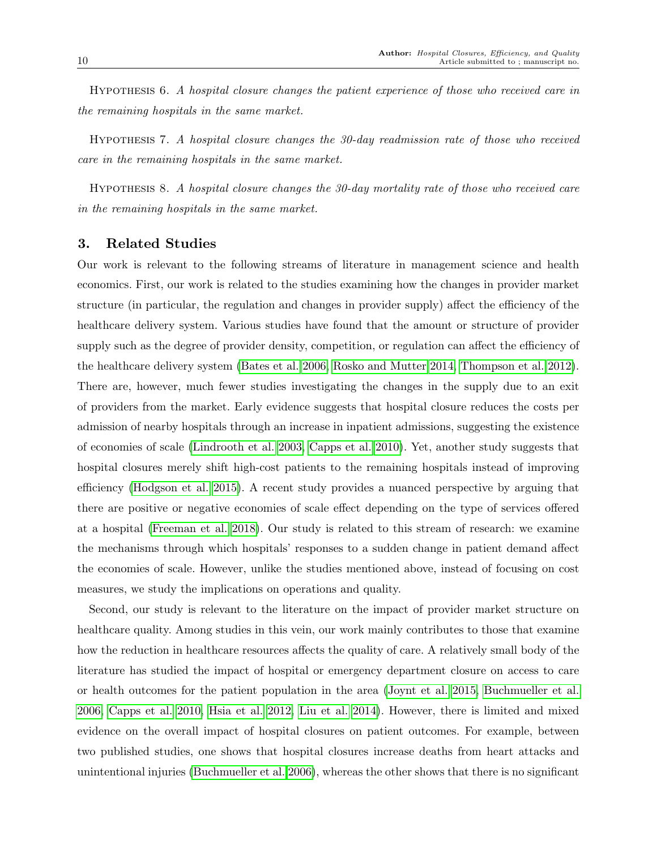Hypothesis 6. A hospital closure changes the patient experience of those who received care in the remaining hospitals in the same market.

Hypothesis 7. A hospital closure changes the 30-day readmission rate of those who received care in the remaining hospitals in the same market.

Hypothesis 8. A hospital closure changes the 30-day mortality rate of those who received care in the remaining hospitals in the same market.

## 3. Related Studies

Our work is relevant to the following streams of literature in management science and health economics. First, our work is related to the studies examining how the changes in provider market structure (in particular, the regulation and changes in provider supply) affect the efficiency of the healthcare delivery system. Various studies have found that the amount or structure of provider supply such as the degree of provider density, competition, or regulation can affect the efficiency of the healthcare delivery system [\(Bates et al. 2006,](#page-30-6) [Rosko and Mutter 2014,](#page-32-19) [Thompson et al. 2012\)](#page-32-20). There are, however, much fewer studies investigating the changes in the supply due to an exit of providers from the market. Early evidence suggests that hospital closure reduces the costs per admission of nearby hospitals through an increase in inpatient admissions, suggesting the existence of economies of scale [\(Lindrooth et al. 2003,](#page-32-2) [Capps et al. 2010\)](#page-31-2). Yet, another study suggests that hospital closures merely shift high-cost patients to the remaining hospitals instead of improving efficiency [\(Hodgson et al. 2015\)](#page-31-24). A recent study provides a nuanced perspective by arguing that there are positive or negative economies of scale effect depending on the type of services offered at a hospital [\(Freeman et al. 2018\)](#page-31-25). Our study is related to this stream of research: we examine the mechanisms through which hospitals' responses to a sudden change in patient demand affect the economies of scale. However, unlike the studies mentioned above, instead of focusing on cost measures, we study the implications on operations and quality.

Second, our study is relevant to the literature on the impact of provider market structure on healthcare quality. Among studies in this vein, our work mainly contributes to those that examine how the reduction in healthcare resources affects the quality of care. A relatively small body of the literature has studied the impact of hospital or emergency department closure on access to care or health outcomes for the patient population in the area [\(Joynt et al. 2015,](#page-31-7) [Buchmueller et al.](#page-30-1) [2006,](#page-30-1) [Capps et al. 2010,](#page-31-2) [Hsia et al. 2012,](#page-31-3) [Liu et al. 2014\)](#page-32-3). However, there is limited and mixed evidence on the overall impact of hospital closures on patient outcomes. For example, between two published studies, one shows that hospital closures increase deaths from heart attacks and unintentional injuries [\(Buchmueller et al. 2006\)](#page-30-1), whereas the other shows that there is no significant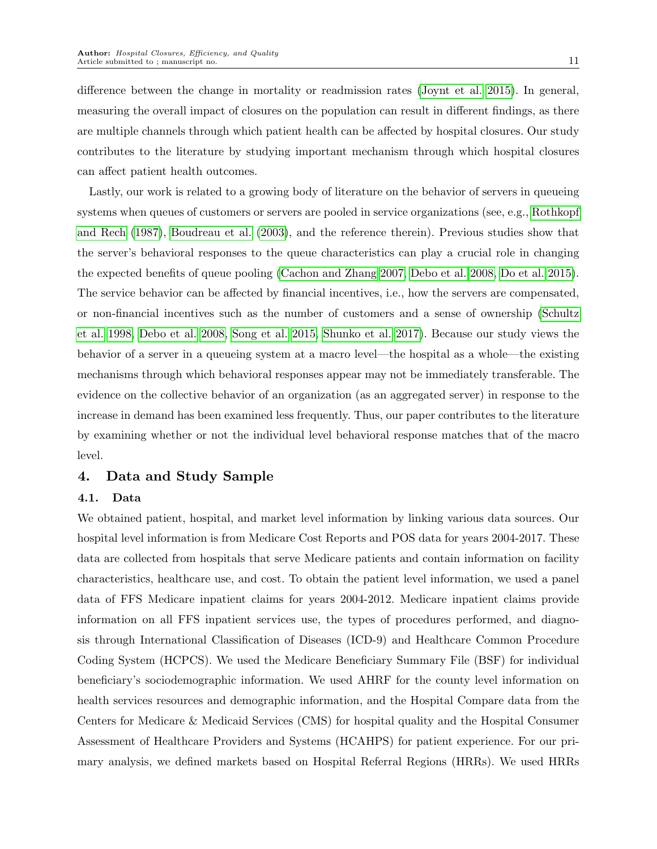difference between the change in mortality or readmission rates [\(Joynt et al. 2015\)](#page-31-7). In general, measuring the overall impact of closures on the population can result in different findings, as there are multiple channels through which patient health can be affected by hospital closures. Our study contributes to the literature by studying important mechanism through which hospital closures can affect patient health outcomes.

Lastly, our work is related to a growing body of literature on the behavior of servers in queueing systems when queues of customers or servers are pooled in service organizations (see, e.g., [Rothkopf](#page-32-21) [and Rech](#page-32-21) [\(1987\)](#page-32-21), [Boudreau et al.](#page-30-7) [\(2003\)](#page-30-7), and the reference therein). Previous studies show that the server's behavioral responses to the queue characteristics can play a crucial role in changing the expected benefits of queue pooling [\(Cachon and Zhang 2007,](#page-30-4) [Debo et al. 2008,](#page-31-19) [Do et al. 2015\)](#page-31-26). The service behavior can be affected by financial incentives, i.e., how the servers are compensated, or non-financial incentives such as the number of customers and a sense of ownership [\(Schultz](#page-32-22) [et al. 1998,](#page-32-22) [Debo et al. 2008,](#page-31-19) [Song et al. 2015,](#page-32-10) [Shunko et al. 2017\)](#page-32-15). Because our study views the behavior of a server in a queueing system at a macro level—the hospital as a whole—the existing mechanisms through which behavioral responses appear may not be immediately transferable. The evidence on the collective behavior of an organization (as an aggregated server) in response to the increase in demand has been examined less frequently. Thus, our paper contributes to the literature by examining whether or not the individual level behavioral response matches that of the macro level.

## 4. Data and Study Sample

## 4.1. Data

We obtained patient, hospital, and market level information by linking various data sources. Our hospital level information is from Medicare Cost Reports and POS data for years 2004-2017. These data are collected from hospitals that serve Medicare patients and contain information on facility characteristics, healthcare use, and cost. To obtain the patient level information, we used a panel data of FFS Medicare inpatient claims for years 2004-2012. Medicare inpatient claims provide information on all FFS inpatient services use, the types of procedures performed, and diagnosis through International Classification of Diseases (ICD-9) and Healthcare Common Procedure Coding System (HCPCS). We used the Medicare Beneficiary Summary File (BSF) for individual beneficiary's sociodemographic information. We used AHRF for the county level information on health services resources and demographic information, and the Hospital Compare data from the Centers for Medicare & Medicaid Services (CMS) for hospital quality and the Hospital Consumer Assessment of Healthcare Providers and Systems (HCAHPS) for patient experience. For our primary analysis, we defined markets based on Hospital Referral Regions (HRRs). We used HRRs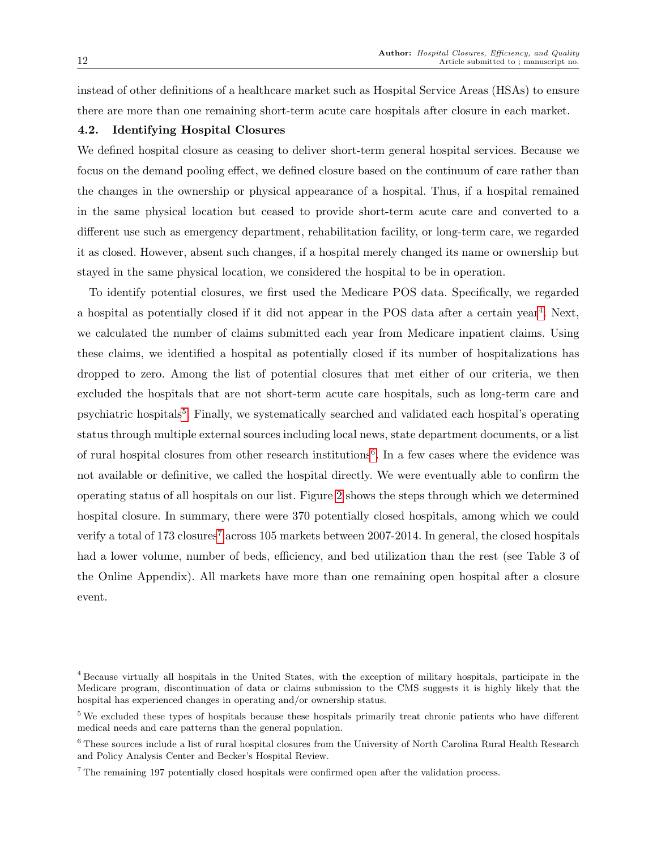instead of other definitions of a healthcare market such as Hospital Service Areas (HSAs) to ensure there are more than one remaining short-term acute care hospitals after closure in each market.

## 4.2. Identifying Hospital Closures

We defined hospital closure as ceasing to deliver short-term general hospital services. Because we focus on the demand pooling effect, we defined closure based on the continuum of care rather than the changes in the ownership or physical appearance of a hospital. Thus, if a hospital remained in the same physical location but ceased to provide short-term acute care and converted to a different use such as emergency department, rehabilitation facility, or long-term care, we regarded it as closed. However, absent such changes, if a hospital merely changed its name or ownership but stayed in the same physical location, we considered the hospital to be in operation.

To identify potential closures, we first used the Medicare POS data. Specifically, we regarded a hospital as potentially closed if it did not appear in the POS data after a certain year<sup>[4](#page-11-0)</sup>. Next, we calculated the number of claims submitted each year from Medicare inpatient claims. Using these claims, we identified a hospital as potentially closed if its number of hospitalizations has dropped to zero. Among the list of potential closures that met either of our criteria, we then excluded the hospitals that are not short-term acute care hospitals, such as long-term care and psychiatric hospitals<sup>[5](#page-11-1)</sup>. Finally, we systematically searched and validated each hospital's operating status through multiple external sources including local news, state department documents, or a list of rural hospital closures from other research institutions<sup>[6](#page-11-2)</sup>. In a few cases where the evidence was not available or definitive, we called the hospital directly. We were eventually able to confirm the operating status of all hospitals on our list. Figure [2](#page-12-0) shows the steps through which we determined hospital closure. In summary, there were 370 potentially closed hospitals, among which we could verify a total of 1[7](#page-11-3)3 closures<sup>7</sup> across 105 markets between 2007-2014. In general, the closed hospitals had a lower volume, number of beds, efficiency, and bed utilization than the rest (see Table 3 of the Online Appendix). All markets have more than one remaining open hospital after a closure event.

<span id="page-11-0"></span><sup>4</sup> Because virtually all hospitals in the United States, with the exception of military hospitals, participate in the Medicare program, discontinuation of data or claims submission to the CMS suggests it is highly likely that the hospital has experienced changes in operating and/or ownership status.

<span id="page-11-1"></span><sup>5</sup> We excluded these types of hospitals because these hospitals primarily treat chronic patients who have different medical needs and care patterns than the general population.

<span id="page-11-2"></span><sup>6</sup> These sources include a list of rural hospital closures from the University of North Carolina Rural Health Research and Policy Analysis Center and Becker's Hospital Review.

<span id="page-11-3"></span><sup>7</sup> The remaining 197 potentially closed hospitals were confirmed open after the validation process.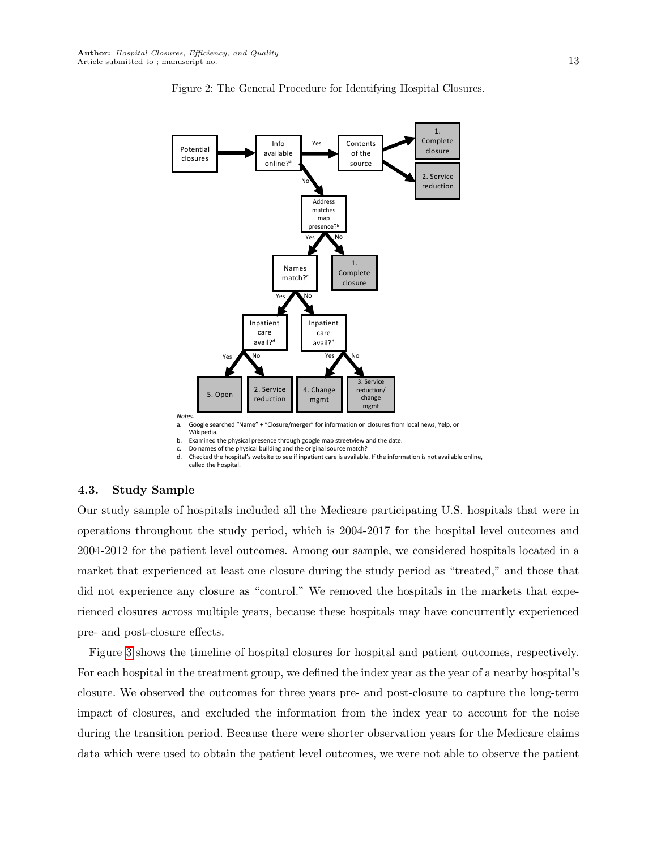

<span id="page-12-0"></span>Figure 2: The General Procedure for Identifying Hospital Closures.

b. Examined the physical presence through google map streetview and the date

c. Do names of the physical building and the original source match?

d. Checked the hospital's website to see if inpatient care is available. If the information is not available online, called the hospital.

### 4.3. Study Sample

Our study sample of hospitals included all the Medicare participating U.S. hospitals that were in operations throughout the study period, which is 2004-2017 for the hospital level outcomes and 2004-2012 for the patient level outcomes. Among our sample, we considered hospitals located in a market that experienced at least one closure during the study period as "treated," and those that did not experience any closure as "control." We removed the hospitals in the markets that experienced closures across multiple years, because these hospitals may have concurrently experienced pre- and post-closure effects.

Figure [3](#page-14-0) shows the timeline of hospital closures for hospital and patient outcomes, respectively. For each hospital in the treatment group, we defined the index year as the year of a nearby hospital's closure. We observed the outcomes for three years pre- and post-closure to capture the long-term impact of closures, and excluded the information from the index year to account for the noise during the transition period. Because there were shorter observation years for the Medicare claims data which were used to obtain the patient level outcomes, we were not able to observe the patient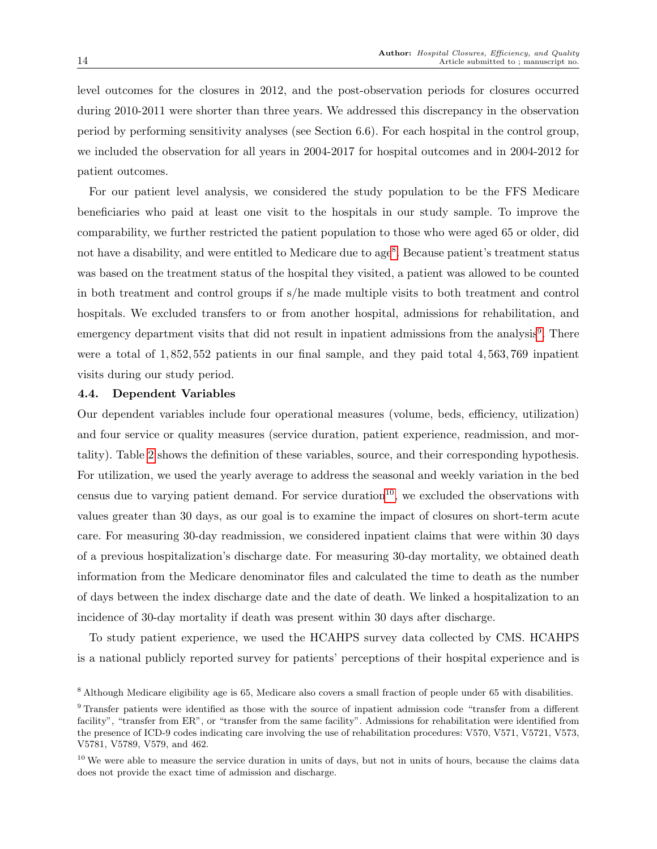level outcomes for the closures in 2012, and the post-observation periods for closures occurred during 2010-2011 were shorter than three years. We addressed this discrepancy in the observation period by performing sensitivity analyses (see Section 6.6). For each hospital in the control group, we included the observation for all years in 2004-2017 for hospital outcomes and in 2004-2012 for patient outcomes.

For our patient level analysis, we considered the study population to be the FFS Medicare beneficiaries who paid at least one visit to the hospitals in our study sample. To improve the comparability, we further restricted the patient population to those who were aged 65 or older, did not have a disability, and were entitled to Medicare due to age<sup>[8](#page-13-0)</sup>. Because patient's treatment status was based on the treatment status of the hospital they visited, a patient was allowed to be counted in both treatment and control groups if s/he made multiple visits to both treatment and control hospitals. We excluded transfers to or from another hospital, admissions for rehabilitation, and emergency department visits that did not result in inpatient admissions from the analysis<sup>[9](#page-13-1)</sup>. There were a total of 1, 852, 552 patients in our final sample, and they paid total 4, 563, 769 inpatient visits during our study period.

### 4.4. Dependent Variables

Our dependent variables include four operational measures (volume, beds, efficiency, utilization) and four service or quality measures (service duration, patient experience, readmission, and mortality). Table [2](#page-14-1) shows the definition of these variables, source, and their corresponding hypothesis. For utilization, we used the yearly average to address the seasonal and weekly variation in the bed census due to varying patient demand. For service duration<sup>[10](#page-13-2)</sup>, we excluded the observations with values greater than 30 days, as our goal is to examine the impact of closures on short-term acute care. For measuring 30-day readmission, we considered inpatient claims that were within 30 days of a previous hospitalization's discharge date. For measuring 30-day mortality, we obtained death information from the Medicare denominator files and calculated the time to death as the number of days between the index discharge date and the date of death. We linked a hospitalization to an incidence of 30-day mortality if death was present within 30 days after discharge.

To study patient experience, we used the HCAHPS survey data collected by CMS. HCAHPS is a national publicly reported survey for patients' perceptions of their hospital experience and is

<span id="page-13-0"></span><sup>8</sup> Although Medicare eligibility age is 65, Medicare also covers a small fraction of people under 65 with disabilities.

<span id="page-13-1"></span><sup>9</sup> Transfer patients were identified as those with the source of inpatient admission code "transfer from a different facility", "transfer from ER", or "transfer from the same facility". Admissions for rehabilitation were identified from the presence of ICD-9 codes indicating care involving the use of rehabilitation procedures: V570, V571, V5721, V573, V5781, V5789, V579, and 462.

<span id="page-13-2"></span><sup>&</sup>lt;sup>10</sup> We were able to measure the service duration in units of days, but not in units of hours, because the claims data does not provide the exact time of admission and discharge.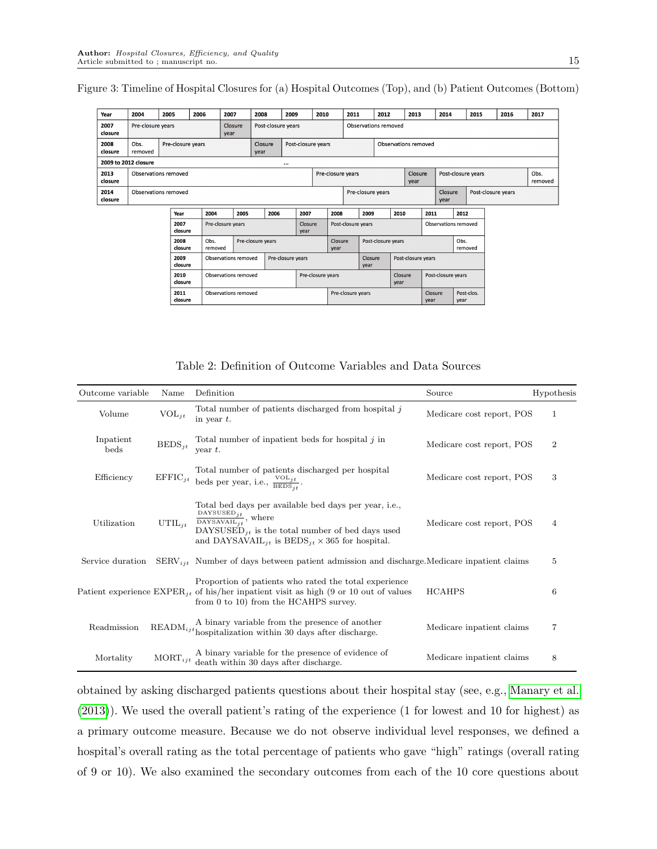<span id="page-14-0"></span>

| Figure 3: Timeline of Hospital Closures for (a) Hospital Outcomes (Top), and (b) Patient Outcomes (Bottom) |  |  |  |  |  |  |  |
|------------------------------------------------------------------------------------------------------------|--|--|--|--|--|--|--|
|------------------------------------------------------------------------------------------------------------|--|--|--|--|--|--|--|

| Year            | 2004                             | 2005                 | 2006            | 2007                                 | 2008 | 2009                                                       |                 | 2010 |                 | 2011                 |                    | 2012               | 2013                 |                 | 2014 |                    | 2015 | 2016 | 2017 |
|-----------------|----------------------------------|----------------------|-----------------|--------------------------------------|------|------------------------------------------------------------|-----------------|------|-----------------|----------------------|--------------------|--------------------|----------------------|-----------------|------|--------------------|------|------|------|
| 2007<br>closure | Pre-closure years                |                      |                 | Closure<br>year                      |      | Post-closure years<br>Observations removed                 |                 |      |                 |                      |                    |                    |                      |                 |      |                    |      |      |      |
| 2008<br>closure | Obs.<br>removed                  | Pre-closure years    |                 |                                      | year | Post-closure years<br>Closure                              |                 |      |                 | Observations removed |                    |                    |                      |                 |      |                    |      |      |      |
|                 | 2009 to 2012 closure<br>$\cdots$ |                      |                 |                                      |      |                                                            |                 |      |                 |                      |                    |                    |                      |                 |      |                    |      |      |      |
| 2013<br>closure |                                  | Observations removed |                 | Pre-closure years<br>Closure<br>year |      |                                                            |                 |      |                 |                      |                    | Post-closure years |                      | Obs.<br>removed |      |                    |      |      |      |
| 2014<br>closure |                                  | Observations removed |                 | Pre-closure years                    |      |                                                            |                 |      |                 | Closure<br>vear      |                    |                    | Post-closure years   |                 |      |                    |      |      |      |
|                 |                                  | Year                 | 2004            | 2005                                 |      | 2006                                                       | 2007            |      | 2008            |                      | 2009               |                    | 2010                 | 2011            |      | 2012               |      |      |      |
|                 |                                  | 2007<br>closure      |                 | Pre-closure years                    |      |                                                            | Closure<br>vear |      |                 | Post-closure years   |                    |                    | Observations removed |                 |      |                    |      |      |      |
|                 |                                  | 2008<br>closure      | Obs.<br>removed |                                      |      | Pre-closure years<br>Post-closure years<br>Closure<br>year |                 |      | Obs.<br>removed |                      |                    |                    |                      |                 |      |                    |      |      |      |
|                 |                                  | 2009<br>closure      |                 | Observations removed                 |      | Closure<br>Pre-closure years<br>Post-closure years<br>year |                 |      |                 |                      |                    |                    |                      |                 |      |                    |      |      |      |
|                 |                                  | 2010<br>closure      |                 | Observations removed                 |      | Pre-closure years<br>year                                  |                 |      | Closure         |                      | Post-closure years |                    |                      |                 |      |                    |      |      |      |
|                 |                                  | 2011<br>closure      |                 | Observations removed                 |      |                                                            |                 |      |                 | Pre-closure years    |                    |                    |                      | Closure<br>year |      | Post-clos.<br>year |      |      |      |

| Table 2: Definition of Outcome Variables and Data Sources |  |
|-----------------------------------------------------------|--|
|-----------------------------------------------------------|--|

<span id="page-14-1"></span>

| Outcome variable  | Name               | Definition                                                                                                                                                                                                                                                           | Source                    | Hypothesis     |
|-------------------|--------------------|----------------------------------------------------------------------------------------------------------------------------------------------------------------------------------------------------------------------------------------------------------------------|---------------------------|----------------|
| Volume            | $VOL_{jt}$         | Total number of patients discharged from hospital $j$<br>in year $t$ .                                                                                                                                                                                               | Medicare cost report, POS | 1              |
| Inpatient<br>beds | $\text{BEDS}_{jt}$ | Total number of inpatient beds for hospital $j$ in<br>$\mathrm{year}\;t.$                                                                                                                                                                                            | Medicare cost report, POS | $\overline{2}$ |
| Efficiency        |                    | Total number of patients discharged per hospital<br>$\text{EFFIC}_{jt}$ beds per year, i.e., $\frac{\text{vol}_{jt}}{\text{BEDS}_{jt}}$ .                                                                                                                            | Medicare cost report, POS | 3              |
| Utilization       | $\text{UTIL}_{it}$ | Total bed days per available bed days per year, i.e.,<br>$\frac{\text{DAYSUSED}_{jt}}{\text{DAYSAVAIL}_{it}}$ , where<br>$\text{DAYSUSED}_{jt}$ is the total number of bed days used<br>and DAYSAVAIL <sub>it</sub> is BEDS <sub>it</sub> $\times$ 365 for hospital. | Medicare cost report, POS | $\overline{4}$ |
| Service duration  |                    | $SERV_{iit}$ Number of days between patient admission and discharge. Medicare inpatient claims                                                                                                                                                                       |                           | 5              |
|                   |                    | Proportion of patients who rated the total experience<br>Patient experience $EXPER_{it}$ of his/her inpatient visit as high (9 or 10 out of values<br>from $0$ to $10$ ) from the HCAHPS survey.                                                                     | <b>HCAHPS</b>             | 6              |
| Readmission       |                    | A binary variable from the presence of another<br>READM <sub>ijt</sub> Country succession within 30 days after discharge.                                                                                                                                            | Medicare inpatient claims | 7              |
| Mortality         | $MORT_{ijt}$       | A binary variable for the presence of evidence of<br>death within 30 days after discharge.                                                                                                                                                                           | Medicare inpatient claims | 8              |

obtained by asking discharged patients questions about their hospital stay (see, e.g., [Manary et al.](#page-32-23) [\(2013\)](#page-32-23)). We used the overall patient's rating of the experience (1 for lowest and 10 for highest) as a primary outcome measure. Because we do not observe individual level responses, we defined a hospital's overall rating as the total percentage of patients who gave "high" ratings (overall rating of 9 or 10). We also examined the secondary outcomes from each of the 10 core questions about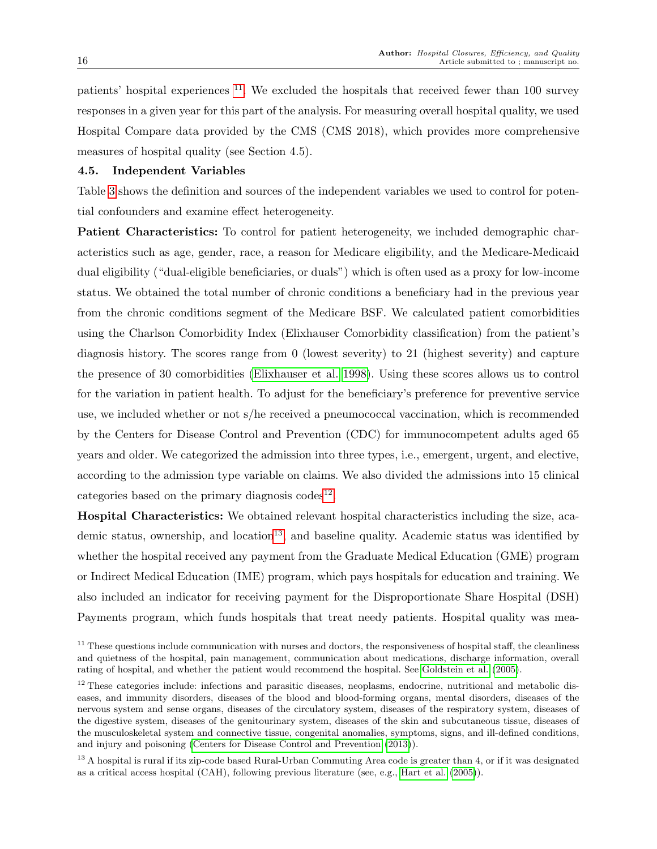patients' hospital experiences [11](#page-15-0). We excluded the hospitals that received fewer than 100 survey responses in a given year for this part of the analysis. For measuring overall hospital quality, we used Hospital Compare data provided by the CMS (CMS 2018), which provides more comprehensive measures of hospital quality (see Section 4.5).

## 4.5. Independent Variables

Table [3](#page-16-0) shows the definition and sources of the independent variables we used to control for potential confounders and examine effect heterogeneity.

Patient Characteristics: To control for patient heterogeneity, we included demographic characteristics such as age, gender, race, a reason for Medicare eligibility, and the Medicare-Medicaid dual eligibility ("dual-eligible beneficiaries, or duals") which is often used as a proxy for low-income status. We obtained the total number of chronic conditions a beneficiary had in the previous year from the chronic conditions segment of the Medicare BSF. We calculated patient comorbidities using the Charlson Comorbidity Index (Elixhauser Comorbidity classification) from the patient's diagnosis history. The scores range from 0 (lowest severity) to 21 (highest severity) and capture the presence of 30 comorbidities [\(Elixhauser et al. 1998\)](#page-31-27). Using these scores allows us to control for the variation in patient health. To adjust for the beneficiary's preference for preventive service use, we included whether or not s/he received a pneumococcal vaccination, which is recommended by the Centers for Disease Control and Prevention (CDC) for immunocompetent adults aged 65 years and older. We categorized the admission into three types, i.e., emergent, urgent, and elective, according to the admission type variable on claims. We also divided the admissions into 15 clinical categories based on the primary diagnosis  $\mathrm{codes}^{12}$  $\mathrm{codes}^{12}$  $\mathrm{codes}^{12}$ .

Hospital Characteristics: We obtained relevant hospital characteristics including the size, aca-demic status, ownership, and location<sup>[13](#page-15-2)</sup>, and baseline quality. Academic status was identified by whether the hospital received any payment from the Graduate Medical Education (GME) program or Indirect Medical Education (IME) program, which pays hospitals for education and training. We also included an indicator for receiving payment for the Disproportionate Share Hospital (DSH) Payments program, which funds hospitals that treat needy patients. Hospital quality was mea-

<span id="page-15-0"></span> $11$  These questions include communication with nurses and doctors, the responsiveness of hospital staff, the cleanliness and quietness of the hospital, pain management, communication about medications, discharge information, overall rating of hospital, and whether the patient would recommend the hospital. See [Goldstein et al.](#page-31-28) [\(2005\)](#page-31-28).

<span id="page-15-1"></span> $12$  These categories include: infections and parasitic diseases, neoplasms, endocrine, nutritional and metabolic diseases, and immunity disorders, diseases of the blood and blood-forming organs, mental disorders, diseases of the nervous system and sense organs, diseases of the circulatory system, diseases of the respiratory system, diseases of the digestive system, diseases of the genitourinary system, diseases of the skin and subcutaneous tissue, diseases of the musculoskeletal system and connective tissue, congenital anomalies, symptoms, signs, and ill-defined conditions, and injury and poisoning [\(Centers for Disease Control and Prevention](#page-31-29) [\(2013\)](#page-31-29)).

<span id="page-15-2"></span><sup>&</sup>lt;sup>13</sup> A hospital is rural if its zip-code based Rural-Urban Commuting Area code is greater than 4, or if it was designated as a critical access hospital (CAH), following previous literature (see, e.g., [Hart et al.](#page-31-30) [\(2005\)](#page-31-30)).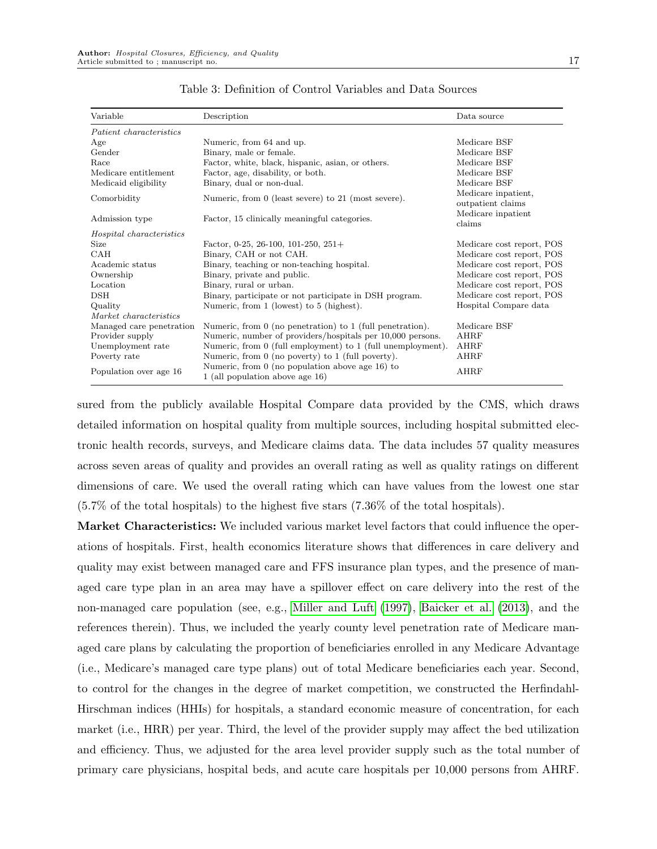<span id="page-16-0"></span>

| Variable                                                       | Description                                                                          | Data source                              |  |
|----------------------------------------------------------------|--------------------------------------------------------------------------------------|------------------------------------------|--|
| <i>Patient characteristics</i>                                 |                                                                                      |                                          |  |
| Age                                                            | Numeric, from 64 and up.                                                             | Medicare BSF                             |  |
| Gender                                                         | Binary, male or female.                                                              | Medicare BSF                             |  |
| Race                                                           | Factor, white, black, hispanic, asian, or others.                                    | Medicare BSF                             |  |
| Medicare entitlement                                           | Factor, age, disability, or both.                                                    | Medicare BSF                             |  |
| Medicaid eligibility                                           | Binary, dual or non-dual.                                                            | Medicare BSF                             |  |
| Comorbidity                                                    | Numeric, from $0$ (least severe) to $21$ (most severe).                              | Medicare inpatient,<br>outpatient claims |  |
| Factor, 15 clinically meaningful categories.<br>Admission type |                                                                                      | Medicare inpatient<br>claims             |  |
| Hospital characteristics                                       |                                                                                      |                                          |  |
| Size                                                           | Factor, 0-25, 26-100, 101-250, $251+$                                                | Medicare cost report, POS                |  |
| CAH                                                            | Binary, CAH or not CAH.                                                              | Medicare cost report, POS                |  |
| Academic status                                                | Binary, teaching or non-teaching hospital.                                           | Medicare cost report, POS                |  |
| Ownership                                                      | Binary, private and public.                                                          | Medicare cost report, POS                |  |
| Location                                                       | Binary, rural or urban.                                                              | Medicare cost report, POS                |  |
| DSH                                                            | Binary, participate or not participate in DSH program.                               | Medicare cost report, POS                |  |
| Quality                                                        | Numeric, from 1 (lowest) to 5 (highest).                                             | Hospital Compare data                    |  |
| Market characteristics                                         |                                                                                      |                                          |  |
| Managed care penetration                                       | Numeric, from $0$ (no penetration) to $1$ (full penetration).                        | Medicare BSF                             |  |
| Provider supply                                                | Numeric, number of providers/hospitals per 10,000 persons.                           | AHRF                                     |  |
| Unemployment rate                                              | Numeric, from 0 (full employment) to 1 (full unemployment).                          | <b>AHRF</b>                              |  |
| Poverty rate                                                   | Numeric, from $0$ (no poverty) to $1$ (full poverty).                                | AHRF                                     |  |
| Population over age 16                                         | Numeric, from $0$ (no population above age 16) to<br>1 (all population above age 16) | AHRF                                     |  |

| Table 3: Definition of Control Variables and Data Sources |  |
|-----------------------------------------------------------|--|
|-----------------------------------------------------------|--|

sured from the publicly available Hospital Compare data provided by the CMS, which draws detailed information on hospital quality from multiple sources, including hospital submitted electronic health records, surveys, and Medicare claims data. The data includes 57 quality measures across seven areas of quality and provides an overall rating as well as quality ratings on different dimensions of care. We used the overall rating which can have values from the lowest one star (5.7% of the total hospitals) to the highest five stars (7.36% of the total hospitals).

Market Characteristics: We included various market level factors that could influence the operations of hospitals. First, health economics literature shows that differences in care delivery and quality may exist between managed care and FFS insurance plan types, and the presence of managed care type plan in an area may have a spillover effect on care delivery into the rest of the non-managed care population (see, e.g., [Miller and Luft](#page-32-24) [\(1997\)](#page-32-24), [Baicker et al.](#page-30-8) [\(2013\)](#page-30-8), and the references therein). Thus, we included the yearly county level penetration rate of Medicare managed care plans by calculating the proportion of beneficiaries enrolled in any Medicare Advantage (i.e., Medicare's managed care type plans) out of total Medicare beneficiaries each year. Second, to control for the changes in the degree of market competition, we constructed the Herfindahl-Hirschman indices (HHIs) for hospitals, a standard economic measure of concentration, for each market (i.e., HRR) per year. Third, the level of the provider supply may affect the bed utilization and efficiency. Thus, we adjusted for the area level provider supply such as the total number of primary care physicians, hospital beds, and acute care hospitals per 10,000 persons from AHRF.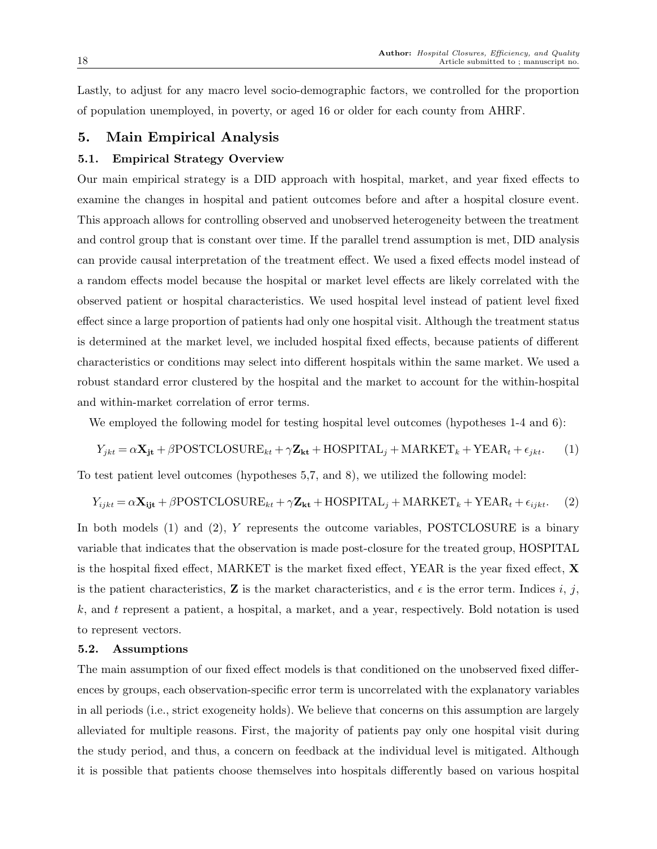Lastly, to adjust for any macro level socio-demographic factors, we controlled for the proportion of population unemployed, in poverty, or aged 16 or older for each county from AHRF.

## 5. Main Empirical Analysis

#### 5.1. Empirical Strategy Overview

Our main empirical strategy is a DID approach with hospital, market, and year fixed effects to examine the changes in hospital and patient outcomes before and after a hospital closure event. This approach allows for controlling observed and unobserved heterogeneity between the treatment and control group that is constant over time. If the parallel trend assumption is met, DID analysis can provide causal interpretation of the treatment effect. We used a fixed effects model instead of a random effects model because the hospital or market level effects are likely correlated with the observed patient or hospital characteristics. We used hospital level instead of patient level fixed effect since a large proportion of patients had only one hospital visit. Although the treatment status is determined at the market level, we included hospital fixed effects, because patients of different characteristics or conditions may select into different hospitals within the same market. We used a robust standard error clustered by the hospital and the market to account for the within-hospital and within-market correlation of error terms.

We employed the following model for testing hospital level outcomes (hypotheses 1-4 and 6):

$$
Y_{jkt} = \alpha \mathbf{X_{jt}} + \beta \text{POSTCLOSURE}_{kt} + \gamma \mathbf{Z_{kt}} + \text{HOSPITAL}_{j} + \text{MARKET}_{k} + \text{YEAR}_{t} + \epsilon_{jkt}. \tag{1}
$$

To test patient level outcomes (hypotheses 5,7, and 8), we utilized the following model:

$$
Y_{ijkt} = \alpha \mathbf{X_{ijt}} + \beta \text{POSTCLOSURE}_{kt} + \gamma \mathbf{Z_{kt}} + \text{HOSPITAL}_{j} + \text{MARKET}_{k} + \text{YEAR}_{t} + \epsilon_{ijkt}. \tag{2}
$$

In both models (1) and (2), Y represents the outcome variables, POSTCLOSURE is a binary variable that indicates that the observation is made post-closure for the treated group, HOSPITAL is the hospital fixed effect, MARKET is the market fixed effect, YEAR is the year fixed effect, X is the patient characteristics, **Z** is the market characteristics, and  $\epsilon$  is the error term. Indices i, j,  $k$ , and t represent a patient, a hospital, a market, and a year, respectively. Bold notation is used to represent vectors.

#### 5.2. Assumptions

The main assumption of our fixed effect models is that conditioned on the unobserved fixed differences by groups, each observation-specific error term is uncorrelated with the explanatory variables in all periods (i.e., strict exogeneity holds). We believe that concerns on this assumption are largely alleviated for multiple reasons. First, the majority of patients pay only one hospital visit during the study period, and thus, a concern on feedback at the individual level is mitigated. Although it is possible that patients choose themselves into hospitals differently based on various hospital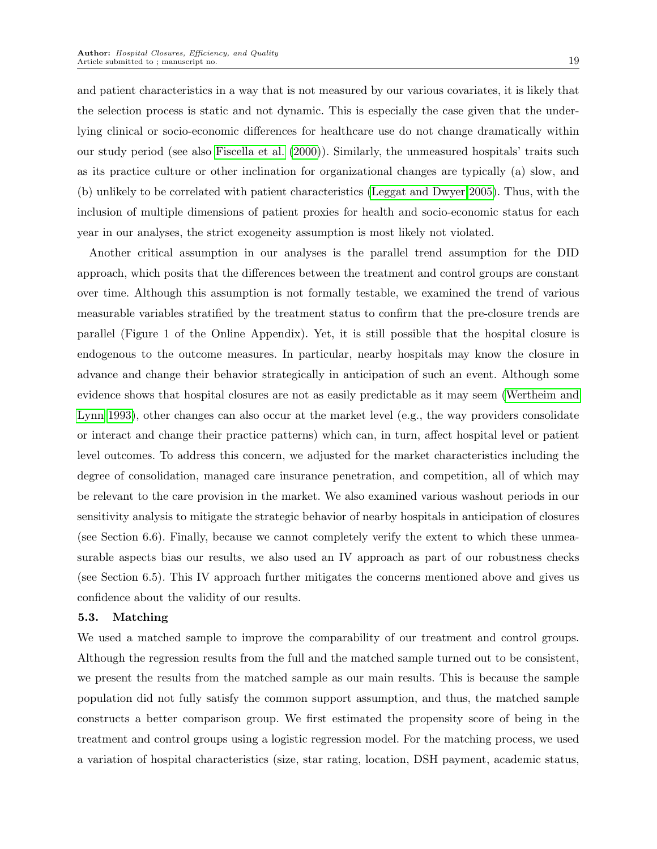and patient characteristics in a way that is not measured by our various covariates, it is likely that the selection process is static and not dynamic. This is especially the case given that the underlying clinical or socio-economic differences for healthcare use do not change dramatically within our study period (see also [Fiscella et al.](#page-31-31) [\(2000\)](#page-31-31)). Similarly, the unmeasured hospitals' traits such as its practice culture or other inclination for organizational changes are typically (a) slow, and (b) unlikely to be correlated with patient characteristics [\(Leggat and Dwyer 2005\)](#page-32-25). Thus, with the inclusion of multiple dimensions of patient proxies for health and socio-economic status for each year in our analyses, the strict exogeneity assumption is most likely not violated.

Another critical assumption in our analyses is the parallel trend assumption for the DID approach, which posits that the differences between the treatment and control groups are constant over time. Although this assumption is not formally testable, we examined the trend of various measurable variables stratified by the treatment status to confirm that the pre-closure trends are parallel (Figure 1 of the Online Appendix). Yet, it is still possible that the hospital closure is endogenous to the outcome measures. In particular, nearby hospitals may know the closure in advance and change their behavior strategically in anticipation of such an event. Although some evidence shows that hospital closures are not as easily predictable as it may seem [\(Wertheim and](#page-32-1) [Lynn 1993\)](#page-32-1), other changes can also occur at the market level (e.g., the way providers consolidate or interact and change their practice patterns) which can, in turn, affect hospital level or patient level outcomes. To address this concern, we adjusted for the market characteristics including the degree of consolidation, managed care insurance penetration, and competition, all of which may be relevant to the care provision in the market. We also examined various washout periods in our sensitivity analysis to mitigate the strategic behavior of nearby hospitals in anticipation of closures (see Section 6.6). Finally, because we cannot completely verify the extent to which these unmeasurable aspects bias our results, we also used an IV approach as part of our robustness checks (see Section 6.5). This IV approach further mitigates the concerns mentioned above and gives us confidence about the validity of our results.

## 5.3. Matching

We used a matched sample to improve the comparability of our treatment and control groups. Although the regression results from the full and the matched sample turned out to be consistent, we present the results from the matched sample as our main results. This is because the sample population did not fully satisfy the common support assumption, and thus, the matched sample constructs a better comparison group. We first estimated the propensity score of being in the treatment and control groups using a logistic regression model. For the matching process, we used a variation of hospital characteristics (size, star rating, location, DSH payment, academic status,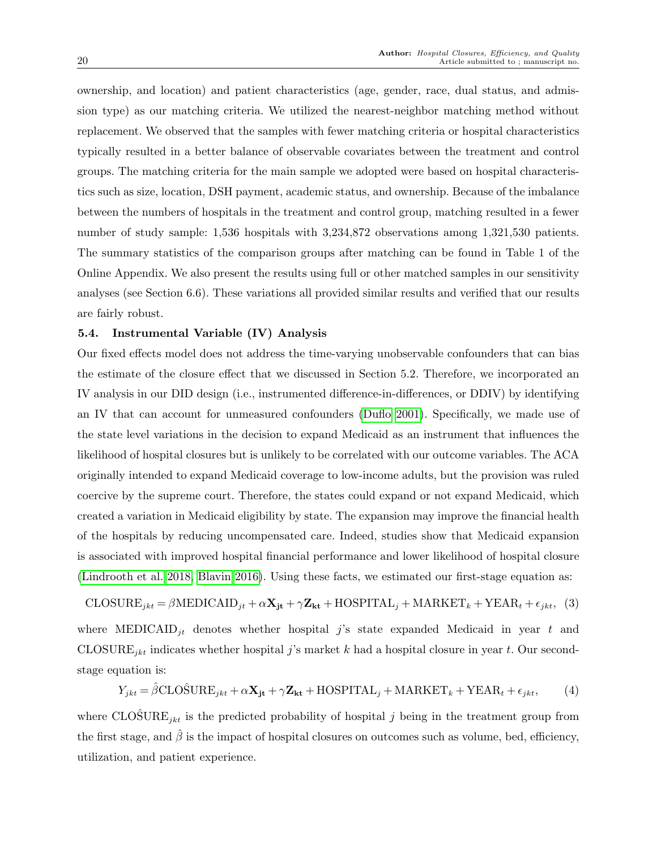ownership, and location) and patient characteristics (age, gender, race, dual status, and admission type) as our matching criteria. We utilized the nearest-neighbor matching method without replacement. We observed that the samples with fewer matching criteria or hospital characteristics typically resulted in a better balance of observable covariates between the treatment and control groups. The matching criteria for the main sample we adopted were based on hospital characteristics such as size, location, DSH payment, academic status, and ownership. Because of the imbalance between the numbers of hospitals in the treatment and control group, matching resulted in a fewer number of study sample: 1,536 hospitals with 3,234,872 observations among 1,321,530 patients. The summary statistics of the comparison groups after matching can be found in Table 1 of the Online Appendix. We also present the results using full or other matched samples in our sensitivity analyses (see Section 6.6). These variations all provided similar results and verified that our results are fairly robust.

## 5.4. Instrumental Variable (IV) Analysis

Our fixed effects model does not address the time-varying unobservable confounders that can bias the estimate of the closure effect that we discussed in Section 5.2. Therefore, we incorporated an IV analysis in our DID design (i.e., instrumented difference-in-differences, or DDIV) by identifying an IV that can account for unmeasured confounders [\(Duflo 2001\)](#page-31-32). Specifically, we made use of the state level variations in the decision to expand Medicaid as an instrument that influences the likelihood of hospital closures but is unlikely to be correlated with our outcome variables. The ACA originally intended to expand Medicaid coverage to low-income adults, but the provision was ruled coercive by the supreme court. Therefore, the states could expand or not expand Medicaid, which created a variation in Medicaid eligibility by state. The expansion may improve the financial health of the hospitals by reducing uncompensated care. Indeed, studies show that Medicaid expansion is associated with improved hospital financial performance and lower likelihood of hospital closure [\(Lindrooth et al. 2018,](#page-32-26) [Blavin 2016\)](#page-30-9). Using these facts, we estimated our first-stage equation as:

 $\text{CLOSURE}_{jkt} = \beta \text{MEDICAID}_{jt} + \alpha \mathbf{X_{jt}} + \gamma \mathbf{Z_{kt}} + \text{HOSPITAL}_{j} + \text{MARKET}_{k} + \text{YEAR}_{t} + \epsilon_{jkt},$  (3) where MEDICAID<sub>jt</sub> denotes whether hospital j's state expanded Medicaid in year t and CLOSURE<sub>jkt</sub> indicates whether hospital j's market k had a hospital closure in year t. Our secondstage equation is:

$$
Y_{jkt} = \hat{\beta} \text{CLO}\hat{\text{S}} \text{URE}_{jkt} + \alpha \mathbf{X_{jt}} + \gamma \mathbf{Z_{kt}} + \text{HOSPITAL}_{j} + \text{MARKET}_{k} + \text{YEAR}_{t} + \epsilon_{jkt}, \tag{4}
$$

where CLOSURE<sub>jkt</sub> is the predicted probability of hospital j being in the treatment group from the first stage, and  $\hat{\beta}$  is the impact of hospital closures on outcomes such as volume, bed, efficiency, utilization, and patient experience.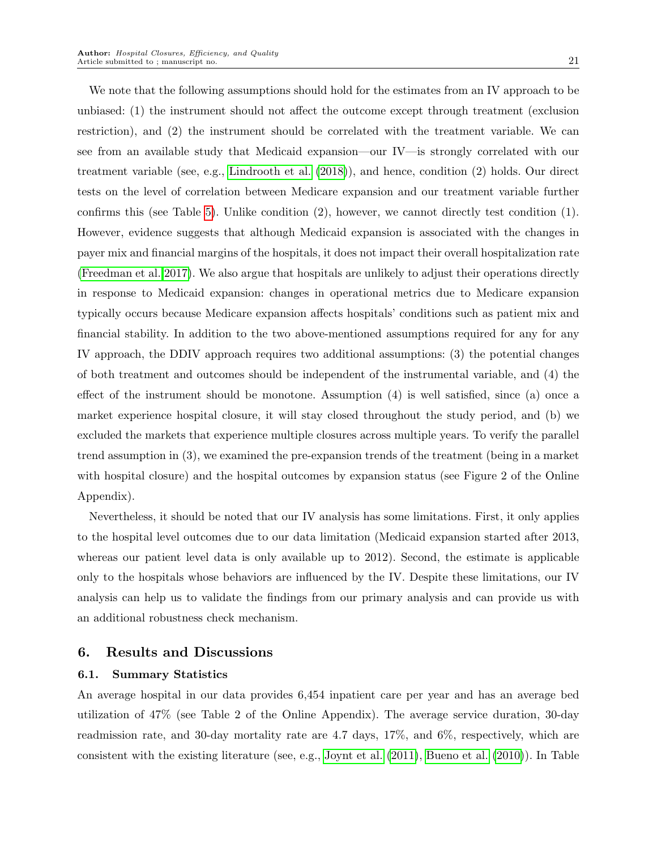We note that the following assumptions should hold for the estimates from an IV approach to be unbiased: (1) the instrument should not affect the outcome except through treatment (exclusion restriction), and (2) the instrument should be correlated with the treatment variable. We can see from an available study that Medicaid expansion—our IV—is strongly correlated with our treatment variable (see, e.g., [Lindrooth et al.](#page-32-26) [\(2018\)](#page-32-26)), and hence, condition (2) holds. Our direct tests on the level of correlation between Medicare expansion and our treatment variable further confirms this (see Table [5\)](#page-26-0). Unlike condition (2), however, we cannot directly test condition (1). However, evidence suggests that although Medicaid expansion is associated with the changes in payer mix and financial margins of the hospitals, it does not impact their overall hospitalization rate [\(Freedman et al. 2017\)](#page-31-33). We also argue that hospitals are unlikely to adjust their operations directly in response to Medicaid expansion: changes in operational metrics due to Medicare expansion typically occurs because Medicare expansion affects hospitals' conditions such as patient mix and financial stability. In addition to the two above-mentioned assumptions required for any for any IV approach, the DDIV approach requires two additional assumptions: (3) the potential changes of both treatment and outcomes should be independent of the instrumental variable, and (4) the effect of the instrument should be monotone. Assumption (4) is well satisfied, since (a) once a market experience hospital closure, it will stay closed throughout the study period, and (b) we excluded the markets that experience multiple closures across multiple years. To verify the parallel trend assumption in (3), we examined the pre-expansion trends of the treatment (being in a market with hospital closure) and the hospital outcomes by expansion status (see Figure 2 of the Online Appendix).

Nevertheless, it should be noted that our IV analysis has some limitations. First, it only applies to the hospital level outcomes due to our data limitation (Medicaid expansion started after 2013, whereas our patient level data is only available up to 2012). Second, the estimate is applicable only to the hospitals whose behaviors are influenced by the IV. Despite these limitations, our IV analysis can help us to validate the findings from our primary analysis and can provide us with an additional robustness check mechanism.

## 6. Results and Discussions

## 6.1. Summary Statistics

An average hospital in our data provides 6,454 inpatient care per year and has an average bed utilization of 47% (see Table 2 of the Online Appendix). The average service duration, 30-day readmission rate, and 30-day mortality rate are 4.7 days, 17%, and 6%, respectively, which are consistent with the existing literature (see, e.g., [Joynt et al.](#page-31-34) [\(2011\)](#page-31-34), [Bueno et al.](#page-30-10) [\(2010\)](#page-30-10)). In Table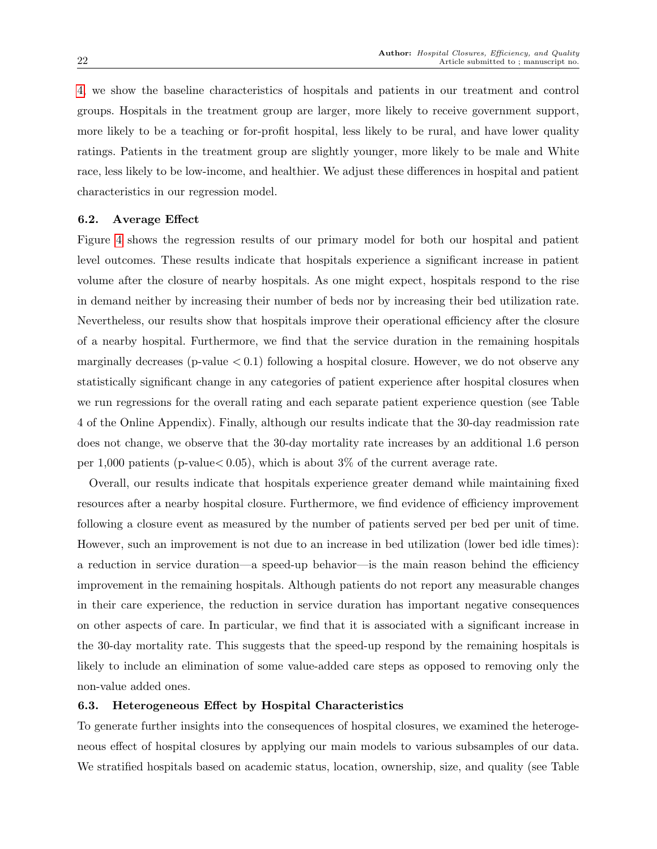[4,](#page-22-0) we show the baseline characteristics of hospitals and patients in our treatment and control groups. Hospitals in the treatment group are larger, more likely to receive government support, more likely to be a teaching or for-profit hospital, less likely to be rural, and have lower quality ratings. Patients in the treatment group are slightly younger, more likely to be male and White race, less likely to be low-income, and healthier. We adjust these differences in hospital and patient characteristics in our regression model.

## 6.2. Average Effect

Figure [4](#page-22-1) shows the regression results of our primary model for both our hospital and patient level outcomes. These results indicate that hospitals experience a significant increase in patient volume after the closure of nearby hospitals. As one might expect, hospitals respond to the rise in demand neither by increasing their number of beds nor by increasing their bed utilization rate. Nevertheless, our results show that hospitals improve their operational efficiency after the closure of a nearby hospital. Furthermore, we find that the service duration in the remaining hospitals marginally decreases (p-value  $< 0.1$ ) following a hospital closure. However, we do not observe any statistically significant change in any categories of patient experience after hospital closures when we run regressions for the overall rating and each separate patient experience question (see Table 4 of the Online Appendix). Finally, although our results indicate that the 30-day readmission rate does not change, we observe that the 30-day mortality rate increases by an additional 1.6 person per  $1,000$  patients (p-value  $0.05$ ), which is about  $3\%$  of the current average rate.

Overall, our results indicate that hospitals experience greater demand while maintaining fixed resources after a nearby hospital closure. Furthermore, we find evidence of efficiency improvement following a closure event as measured by the number of patients served per bed per unit of time. However, such an improvement is not due to an increase in bed utilization (lower bed idle times): a reduction in service duration—a speed-up behavior—is the main reason behind the efficiency improvement in the remaining hospitals. Although patients do not report any measurable changes in their care experience, the reduction in service duration has important negative consequences on other aspects of care. In particular, we find that it is associated with a significant increase in the 30-day mortality rate. This suggests that the speed-up respond by the remaining hospitals is likely to include an elimination of some value-added care steps as opposed to removing only the non-value added ones.

## 6.3. Heterogeneous Effect by Hospital Characteristics

To generate further insights into the consequences of hospital closures, we examined the heterogeneous effect of hospital closures by applying our main models to various subsamples of our data. We stratified hospitals based on academic status, location, ownership, size, and quality (see Table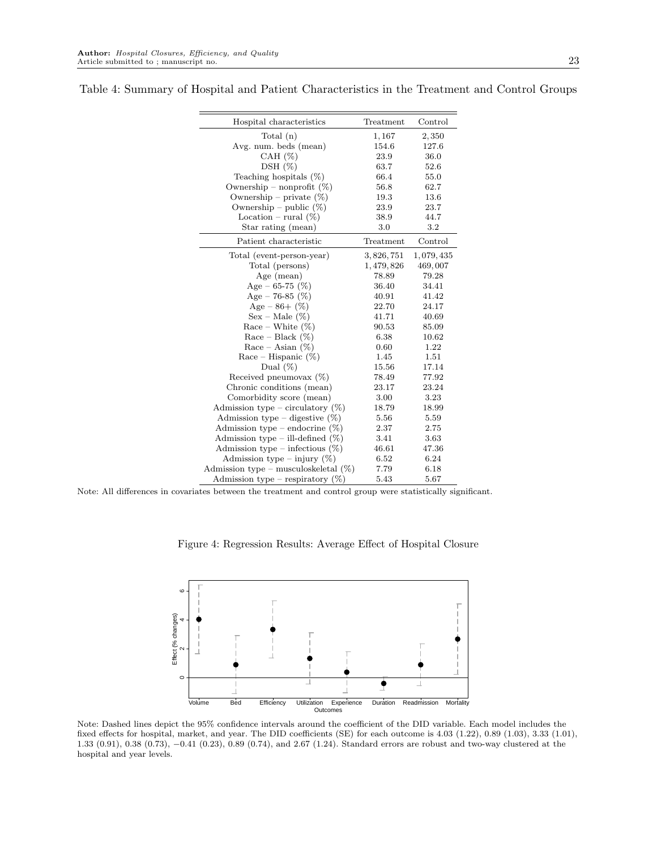| Hospital characteristics                | Treatment | Control   |
|-----------------------------------------|-----------|-----------|
| Total (n)                               | 1,167     | 2,350     |
| Avg. num. beds (mean)                   | 154.6     | 127.6     |
| CAH $(\%)$                              | 23.9      | 36.0      |
| $DSH(\%)$                               | 63.7      | 52.6      |
| Teaching hospitals $(\%)$               | 66.4      | 55.0      |
| Ownership – nonprofit $(\%)$            | 56.8      | 62.7      |
| Ownership – private $(\%)$              | 19.3      | 13.6      |
| Ownership - public (%)                  | 23.9      | 23.7      |
| Location – rural $(\%)$                 | 38.9      | 44.7      |
| Star rating (mean)                      | 3.0       | 3.2       |
| Patient characteristic                  | Treatment | Control   |
| Total (event-person-year)               | 3,826,751 | 1,079,435 |
| Total (persons)                         | 1,479,826 | 469,007   |
| Age $(mean)$                            | 78.89     | 79.28     |
| Age – 65-75 $(\%)$                      | 36.40     | 34.41     |
| Age - 76-85 $(\%)$                      | 40.91     | 41.42     |
| $Age - 86 + (%)$                        | 22.70     | 24.17     |
| $Sex - Male (\%)$                       | 41.71     | 40.69     |
| $\text{Race} - \text{White}(\%)$        | 90.53     | 85.09     |
| Race – Black $(\%)$                     | 6.38      | 10.62     |
| $\text{Race} - \text{Asian } (\%)$      | 0.60      | 1.22      |
| Race – Hispanic $(\%)$                  | 1.45      | 1.51      |
| Dual $(\%)$                             | 15.56     | 17.14     |
| Received pneumovax $(\%)$               | 78.49     | 77.92     |
| Chronic conditions (mean)               | 23.17     | 23.24     |
| Comorbidity score (mean)                | 3.00      | 3.23      |
| Admission type – circulatory $(\%)$     | 18.79     | 18.99     |
| Admission type – digestive $(\%)$       | 5.56      | 5.59      |
| Admission type – endocrine $(\%)$       | 2.37      | 2.75      |
| Admission type – ill-defined $(\%)$     | 3.41      | 3.63      |
| Admission type – infectious $(\%)$      | 46.61     | 47.36     |
| Admission type – injury $(\%)$          | 6.52      | 6.24      |
| Admission type – musculoskeletal $(\%)$ | 7.79      | 6.18      |
| Admission type – respiratory $(\%)$     | 5.43      | 5.67      |

<span id="page-22-0"></span>Table 4: Summary of Hospital and Patient Characteristics in the Treatment and Control Groups

<span id="page-22-1"></span>Note: All differences in covariates between the treatment and control group were statistically significant.



Figure 4: Regression Results: Average Effect of Hospital Closure

Note: Dashed lines depict the 95% confidence intervals around the coefficient of the DID variable. Each model includes the fixed effects for hospital, market, and year. The DID coefficients (SE) for each outcome is 4.03 (1.22), 0.89 (1.03), 3.33 (1.01), 1.33 (0.91), 0.38 (0.73), −0.41 (0.23), 0.89 (0.74), and 2.67 (1.24). Standard errors are robust and two-way clustered at the hospital and year levels.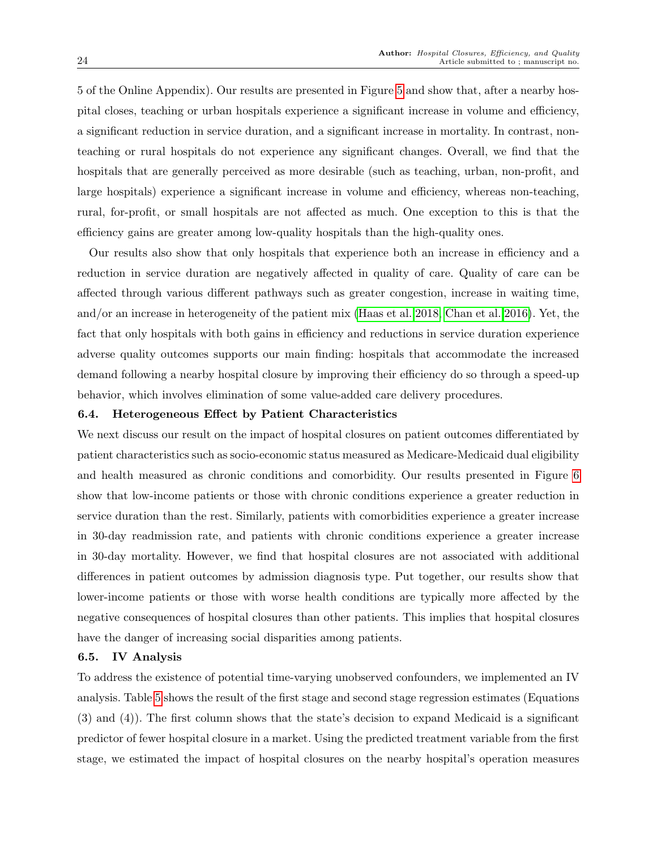5 of the Online Appendix). Our results are presented in Figure [5](#page-24-0) and show that, after a nearby hospital closes, teaching or urban hospitals experience a significant increase in volume and efficiency, a significant reduction in service duration, and a significant increase in mortality. In contrast, nonteaching or rural hospitals do not experience any significant changes. Overall, we find that the hospitals that are generally perceived as more desirable (such as teaching, urban, non-profit, and large hospitals) experience a significant increase in volume and efficiency, whereas non-teaching, rural, for-profit, or small hospitals are not affected as much. One exception to this is that the efficiency gains are greater among low-quality hospitals than the high-quality ones.

Our results also show that only hospitals that experience both an increase in efficiency and a reduction in service duration are negatively affected in quality of care. Quality of care can be affected through various different pathways such as greater congestion, increase in waiting time, and/or an increase in heterogeneity of the patient mix [\(Haas et al. 2018,](#page-31-9) [Chan et al. 2016\)](#page-31-10). Yet, the fact that only hospitals with both gains in efficiency and reductions in service duration experience adverse quality outcomes supports our main finding: hospitals that accommodate the increased demand following a nearby hospital closure by improving their efficiency do so through a speed-up behavior, which involves elimination of some value-added care delivery procedures.

#### 6.4. Heterogeneous Effect by Patient Characteristics

We next discuss our result on the impact of hospital closures on patient outcomes differentiated by patient characteristics such as socio-economic status measured as Medicare-Medicaid dual eligibility and health measured as chronic conditions and comorbidity. Our results presented in Figure [6](#page-24-1) show that low-income patients or those with chronic conditions experience a greater reduction in service duration than the rest. Similarly, patients with comorbidities experience a greater increase in 30-day readmission rate, and patients with chronic conditions experience a greater increase in 30-day mortality. However, we find that hospital closures are not associated with additional differences in patient outcomes by admission diagnosis type. Put together, our results show that lower-income patients or those with worse health conditions are typically more affected by the negative consequences of hospital closures than other patients. This implies that hospital closures have the danger of increasing social disparities among patients.

## 6.5. IV Analysis

To address the existence of potential time-varying unobserved confounders, we implemented an IV analysis. Table [5](#page-26-0) shows the result of the first stage and second stage regression estimates (Equations (3) and (4)). The first column shows that the state's decision to expand Medicaid is a significant predictor of fewer hospital closure in a market. Using the predicted treatment variable from the first stage, we estimated the impact of hospital closures on the nearby hospital's operation measures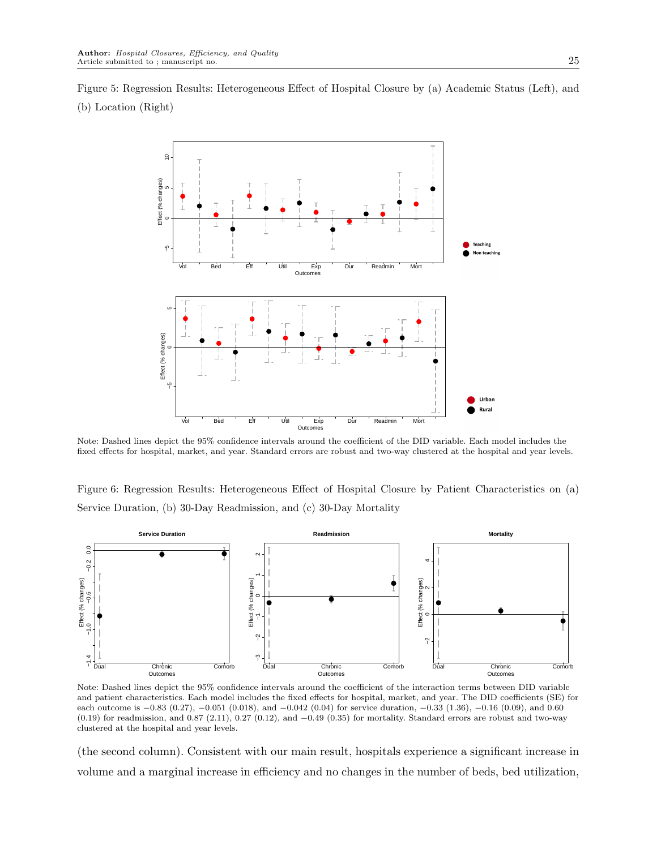<span id="page-24-0"></span>Figure 5: Regression Results: Heterogeneous Effect of Hospital Closure by (a) Academic Status (Left), and (b) Location (Right)



Note: Dashed lines depict the 95% confidence intervals around the coefficient of the DID variable. Each model includes the fixed effects for hospital, market, and year. Standard errors are robust and two-way clustered at the hospital and year levels.

Figure 6: Regression Results: Heterogeneous Effect of Hospital Closure by Patient Characteristics on (a) Service Duration, (b) 30-Day Readmission, and (c) 30-Day Mortality

<span id="page-24-1"></span>

Note: Dashed lines depict the 95% confidence intervals around the coefficient of the interaction terms between DID variable and patient characteristics. Each model includes the fixed effects for hospital, market, and year. The DID coefficients (SE) for each outcome is  $-0.83$  (0.27),  $-0.051$  (0.018), and  $-0.042$  (0.04) for service duration,  $-0.33$  (1.36),  $-0.16$  (0.09), and 0.60  $(0.19)$  for readmission, and 0.87 (2.11), 0.27 (0.12), and  $-0.49$  (0.35) for mortality. Standard errors are robust and two-way clustered at the hospital and year levels.

(the second column). Consistent with our main result, hospitals experience a significant increase in volume and a marginal increase in efficiency and no changes in the number of beds, bed utilization,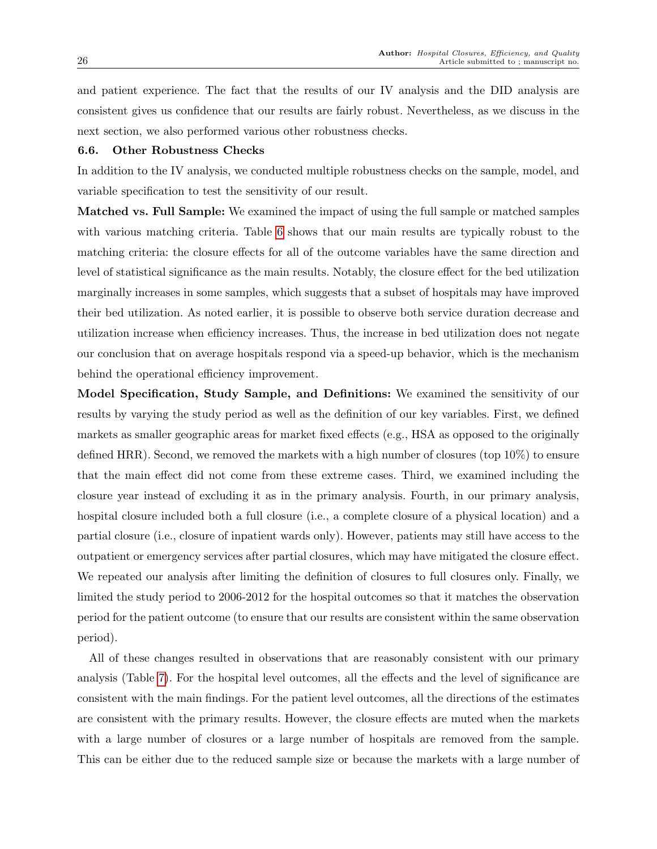and patient experience. The fact that the results of our IV analysis and the DID analysis are consistent gives us confidence that our results are fairly robust. Nevertheless, as we discuss in the next section, we also performed various other robustness checks.

## 6.6. Other Robustness Checks

In addition to the IV analysis, we conducted multiple robustness checks on the sample, model, and variable specification to test the sensitivity of our result.

Matched vs. Full Sample: We examined the impact of using the full sample or matched samples with various matching criteria. Table [6](#page-26-1) shows that our main results are typically robust to the matching criteria: the closure effects for all of the outcome variables have the same direction and level of statistical significance as the main results. Notably, the closure effect for the bed utilization marginally increases in some samples, which suggests that a subset of hospitals may have improved their bed utilization. As noted earlier, it is possible to observe both service duration decrease and utilization increase when efficiency increases. Thus, the increase in bed utilization does not negate our conclusion that on average hospitals respond via a speed-up behavior, which is the mechanism behind the operational efficiency improvement.

Model Specification, Study Sample, and Definitions: We examined the sensitivity of our results by varying the study period as well as the definition of our key variables. First, we defined markets as smaller geographic areas for market fixed effects (e.g., HSA as opposed to the originally defined HRR). Second, we removed the markets with a high number of closures (top 10%) to ensure that the main effect did not come from these extreme cases. Third, we examined including the closure year instead of excluding it as in the primary analysis. Fourth, in our primary analysis, hospital closure included both a full closure (i.e., a complete closure of a physical location) and a partial closure (i.e., closure of inpatient wards only). However, patients may still have access to the outpatient or emergency services after partial closures, which may have mitigated the closure effect. We repeated our analysis after limiting the definition of closures to full closures only. Finally, we limited the study period to 2006-2012 for the hospital outcomes so that it matches the observation period for the patient outcome (to ensure that our results are consistent within the same observation period).

All of these changes resulted in observations that are reasonably consistent with our primary analysis (Table [7\)](#page-27-0). For the hospital level outcomes, all the effects and the level of significance are consistent with the main findings. For the patient level outcomes, all the directions of the estimates are consistent with the primary results. However, the closure effects are muted when the markets with a large number of closures or a large number of hospitals are removed from the sample. This can be either due to the reduced sample size or because the markets with a large number of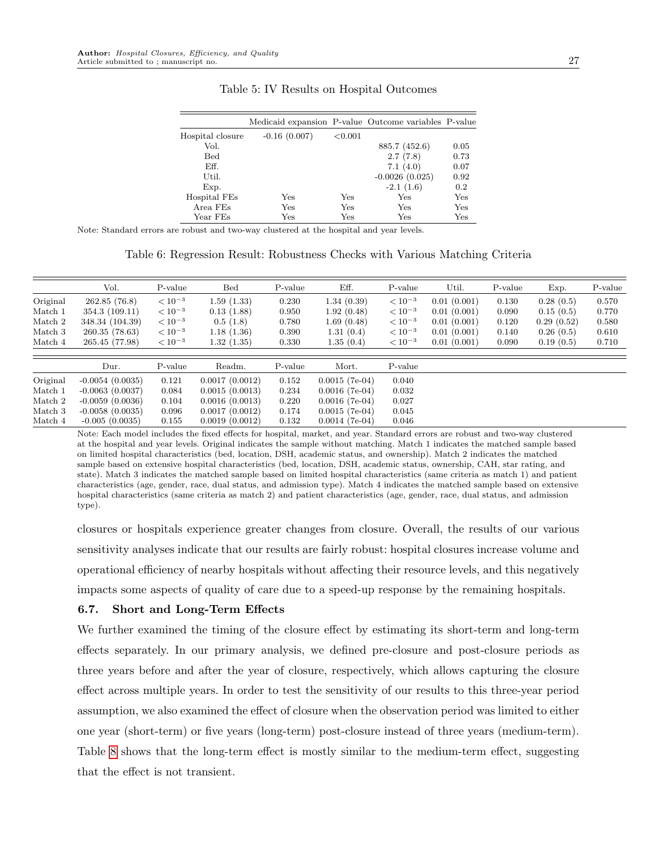<span id="page-26-0"></span>

|                  | Medicaid expansion P-value Outcome variables P-value |              |                  |      |
|------------------|------------------------------------------------------|--------------|------------------|------|
| Hospital closure | $-0.16(0.007)$                                       | < 0.001      |                  |      |
| Vol.             |                                                      |              | 885.7 (452.6)    | 0.05 |
| <b>Bed</b>       |                                                      |              | 2.7(7.8)         | 0.73 |
| Eff.             |                                                      |              | 7.1(4.0)         | 0.07 |
| Util.            |                                                      |              | $-0.0026(0.025)$ | 0.92 |
| Exp.             |                                                      |              | $-2.1(1.6)$      | 0.2  |
| Hospital FEs     | Yes                                                  | Yes          | Yes              | Yes  |
| Area FEs         | Yes                                                  | Yes          | Yes              | Yes  |
| Year FEs         | $_{\rm Yes}$                                         | $_{\rm Yes}$ | Yes              | Yes  |

Table 5: IV Results on Hospital Outcomes

<span id="page-26-1"></span>Note: Standard errors are robust and two-way clustered at the hospital and year levels.

Table 6: Regression Result: Robustness Checks with Various Matching Criteria

|          | Vol.              | P-value     | Bed            | P-value | Eff.             | P-value     | Util.       | P-value | Exp.       | P-value |
|----------|-------------------|-------------|----------------|---------|------------------|-------------|-------------|---------|------------|---------|
| Original | 262.85(76.8)      | $< 10^{-3}$ | 1.59(1.33)     | 0.230   | 1.34(0.39)       | $< 10^{-3}$ | 0.01(0.001) | 0.130   | 0.28(0.5)  | 0.570   |
| Match 1  | 354.3(109.11)     | $< 10^{-3}$ | 0.13(1.88)     | 0.950   | 1.92(0.48)       | $< 10^{-3}$ | 0.01(0.001) | 0.090   | 0.15(0.5)  | 0.770   |
| Match 2  | 348.34 (104.39)   | $< 10^{-3}$ | 0.5(1.8)       | 0.780   | 1.69(0.48)       | $< 10^{-3}$ | 0.01(0.001) | 0.120   | 0.29(0.52) | 0.580   |
| Match 3  | 260.35 (78.63)    | $< 10^{-3}$ | 1.18(1.36)     | 0.390   | 1.31(0.4)        | $< 10^{-3}$ | 0.01(0.001) | 0.140   | 0.26(0.5)  | 0.610   |
| Match 4  | 265.45 (77.98)    | $< 10^{-3}$ | 1.32(1.35)     | 0.330   | 1.35(0.4)        | $< 10^{-3}$ | 0.01(0.001) | 0.090   | 0.19(0.5)  | 0.710   |
|          |                   |             |                |         |                  |             |             |         |            |         |
|          | Dur.              | P-value     | Readm.         | P-value | Mort.            | P-value     |             |         |            |         |
| Original | $-0.0054(0.0035)$ | 0.121       | 0.0017(0.0012) | 0.152   | $0.0015$ (7e-04) | 0.040       |             |         |            |         |
| Match 1  | $-0.0063(0.0037)$ | 0.084       | 0.0015(0.0013) | 0.234   | $0.0016(7e-04)$  | 0.032       |             |         |            |         |
| Match 2  | $-0.0059(0.0036)$ | 0.104       | 0.0016(0.0013) | 0.220   | $0.0016$ (7e-04) | 0.027       |             |         |            |         |
| Match 3  | $-0.0058(0.0035)$ | 0.096       | 0.0017(0.0012) | 0.174   | $0.0015(7e-04)$  | 0.045       |             |         |            |         |
| Match 4  | $-0.005(0.0035)$  | 0.155       | 0.0019(0.0012) | 0.132   | $0.0014(7e-04)$  | 0.046       |             |         |            |         |

Note: Each model includes the fixed effects for hospital, market, and year. Standard errors are robust and two-way clustered at the hospital and year levels. Original indicates the sample without matching. Match 1 indicates the matched sample based on limited hospital characteristics (bed, location, DSH, academic status, and ownership). Match 2 indicates the matched sample based on extensive hospital characteristics (bed, location, DSH, academic status, ownership, CAH, star rating, and state). Match 3 indicates the matched sample based on limited hospital characteristics (same criteria as match 1) and patient characteristics (age, gender, race, dual status, and admission type). Match 4 indicates the matched sample based on extensive hospital characteristics (same criteria as match 2) and patient characteristics (age, gender, race, dual status, and admission type).

closures or hospitals experience greater changes from closure. Overall, the results of our various sensitivity analyses indicate that our results are fairly robust: hospital closures increase volume and operational efficiency of nearby hospitals without affecting their resource levels, and this negatively impacts some aspects of quality of care due to a speed-up response by the remaining hospitals.

## 6.7. Short and Long-Term Effects

We further examined the timing of the closure effect by estimating its short-term and long-term effects separately. In our primary analysis, we defined pre-closure and post-closure periods as three years before and after the year of closure, respectively, which allows capturing the closure effect across multiple years. In order to test the sensitivity of our results to this three-year period assumption, we also examined the effect of closure when the observation period was limited to either one year (short-term) or five years (long-term) post-closure instead of three years (medium-term). Table [8](#page-28-0) shows that the long-term effect is mostly similar to the medium-term effect, suggesting that the effect is not transient.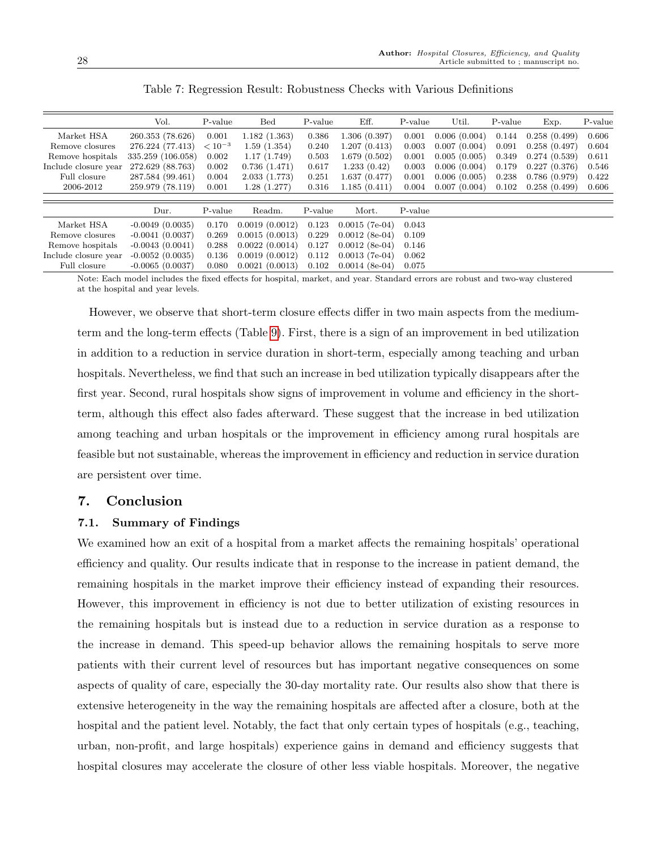<span id="page-27-0"></span>

|                      | Vol.              | P-value     | <b>Bed</b>     | P-value | Eff.             | P-value | Util.        | P-value | Exp.         | P-value |
|----------------------|-------------------|-------------|----------------|---------|------------------|---------|--------------|---------|--------------|---------|
| Market HSA           | 260.353 (78.626)  | 0.001       | 1.182(1.363)   | 0.386   | 1.306(0.397)     | 0.001   | 0.006(0.004) | 0.144   | 0.258(0.499) | 0.606   |
| Remove closures      | 276.224 (77.413)  | $< 10^{-3}$ | 1.59(1.354)    | 0.240   | 1.207(0.413)     | 0.003   | 0.007(0.004) | 0.091   | 0.258(0.497) | 0.604   |
| Remove hospitals     | 335.259 (106.058) | 0.002       | 1.17(1.749)    | 0.503   | 1.679(0.502)     | 0.001   | 0.005(0.005) | 0.349   | 0.274(0.539) | 0.611   |
| Include closure year | 272.629 (88.763)  | 0.002       | 0.736(1.471)   | 0.617   | 1.233(0.42)      | 0.003   | 0.006(0.004) | 0.179   | 0.227(0.376) | 0.546   |
| Full closure         | 287.584 (99.461)  | 0.004       | 2.033(1.773)   | 0.251   | 1.637(0.477)     | 0.001   | 0.006(0.005) | 0.238   | 0.786(0.979) | 0.422   |
| 2006-2012            | 259.979 (78.119)  | 0.001       | 1.28(1.277)    | 0.316   | 1.185(0.411)     | 0.004   | 0.007(0.004) | 0.102   | 0.258(0.499) | 0.606   |
|                      |                   |             |                |         |                  |         |              |         |              |         |
|                      | Dur.              | P-value     | Readm.         | P-value | Mort.            | P-value |              |         |              |         |
| Market HSA           | $-0.0049(0.0035)$ | 0.170       | 0.0019(0.0012) | 0.123   | $0.0015(7e-04)$  | 0.043   |              |         |              |         |
| Remove closures      | $-0.0041(0.0037)$ | 0.269       | 0.0015(0.0013) | 0.229   | $0.0012$ (8e-04) | 0.109   |              |         |              |         |
| Remove hospitals     | $-0.0043(0.0041)$ | 0.288       | 0.0022(0.0014) | 0.127   | $0.0012$ (8e-04) | 0.146   |              |         |              |         |
| Include closure year | $-0.0052(0.0035)$ | 0.136       | 0.0019(0.0012) | 0.112   | $0.0013(7e-04)$  | 0.062   |              |         |              |         |
| Full closure         | $-0.0065(0.0037)$ | 0.080       | 0.0021(0.0013) | 0.102   | $0.0014(8e-04)$  | 0.075   |              |         |              |         |

| Table 7: Regression Result: Robustness Checks with Various Definitions |  |  |  |  |  |
|------------------------------------------------------------------------|--|--|--|--|--|
|------------------------------------------------------------------------|--|--|--|--|--|

Note: Each model includes the fixed effects for hospital, market, and year. Standard errors are robust and two-way clustered at the hospital and year levels.

However, we observe that short-term closure effects differ in two main aspects from the mediumterm and the long-term effects (Table [9\)](#page-28-1). First, there is a sign of an improvement in bed utilization in addition to a reduction in service duration in short-term, especially among teaching and urban hospitals. Nevertheless, we find that such an increase in bed utilization typically disappears after the first year. Second, rural hospitals show signs of improvement in volume and efficiency in the shortterm, although this effect also fades afterward. These suggest that the increase in bed utilization among teaching and urban hospitals or the improvement in efficiency among rural hospitals are feasible but not sustainable, whereas the improvement in efficiency and reduction in service duration are persistent over time.

## 7. Conclusion

## 7.1. Summary of Findings

We examined how an exit of a hospital from a market affects the remaining hospitals' operational efficiency and quality. Our results indicate that in response to the increase in patient demand, the remaining hospitals in the market improve their efficiency instead of expanding their resources. However, this improvement in efficiency is not due to better utilization of existing resources in the remaining hospitals but is instead due to a reduction in service duration as a response to the increase in demand. This speed-up behavior allows the remaining hospitals to serve more patients with their current level of resources but has important negative consequences on some aspects of quality of care, especially the 30-day mortality rate. Our results also show that there is extensive heterogeneity in the way the remaining hospitals are affected after a closure, both at the hospital and the patient level. Notably, the fact that only certain types of hospitals (e.g., teaching, urban, non-profit, and large hospitals) experience gains in demand and efficiency suggests that hospital closures may accelerate the closure of other less viable hospitals. Moreover, the negative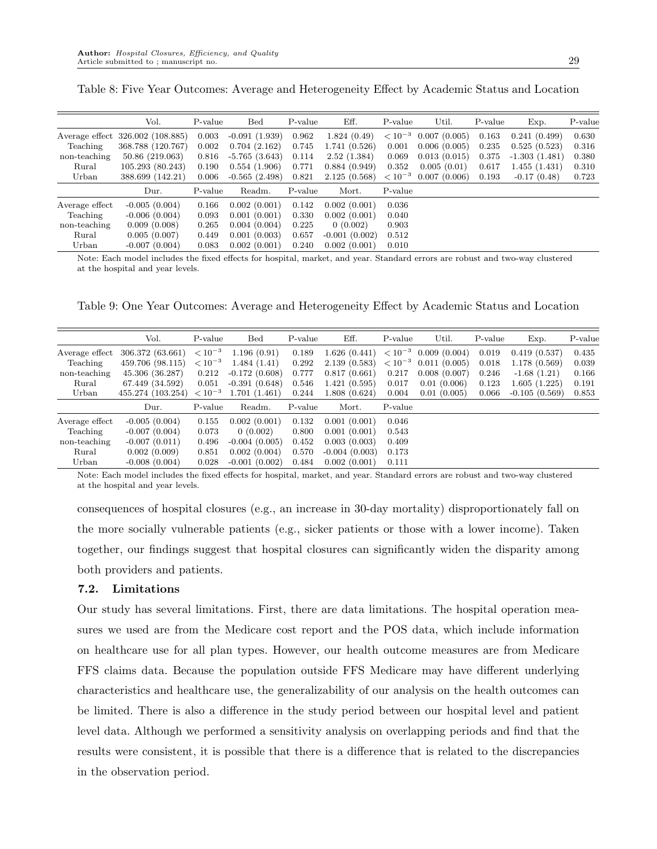|                | Vol.                             | P-value | Bed             | P-value | Eff.            | P-value     | Util.        | P-value | Exp.            | P-value |
|----------------|----------------------------------|---------|-----------------|---------|-----------------|-------------|--------------|---------|-----------------|---------|
|                | Average effect 326.002 (108.885) | 0.003   | $-0.091(1.939)$ | 0.962   | 1.824(0.49)     | $< 10^{-3}$ | 0.007(0.005) | 0.163   | 0.241(0.499)    | 0.630   |
| Teaching       | 368.788 (120.767)                | 0.002   | 0.704(2.162)    | 0.745   | 1.741(0.526)    | 0.001       | 0.006(0.005) | 0.235   | 0.525(0.523)    | 0.316   |
| non-teaching   | 50.86 (219.063)                  | 0.816   | $-5.765(3.643)$ | 0.114   | 2.52(1.384)     | 0.069       | 0.013(0.015) | 0.375   | $-1.303(1.481)$ | 0.380   |
| Rural          | 105.293(80.243)                  | 0.190   | 0.554(1.906)    | 0.771   | 0.884(0.949)    | 0.352       | 0.005(0.01)  | 0.617   | 1.455(1.431)    | 0.310   |
| Urban          | 388.699 (142.21)                 | 0.006   | $-0.565(2.498)$ | 0.821   | 2.125(0.568)    | $< 10^{-3}$ | 0.007(0.006) | 0.193   | $-0.17(0.48)$   | 0.723   |
|                | Dur.                             | P-value | Readm.          | P-value | Mort.           | P-value     |              |         |                 |         |
| Average effect | $-0.005(0.004)$                  | 0.166   | 0.002(0.001)    | 0.142   | 0.002(0.001)    | 0.036       |              |         |                 |         |
| Teaching       | $-0.006(0.004)$                  | 0.093   | 0.001(0.001)    | 0.330   | 0.002(0.001)    | 0.040       |              |         |                 |         |
| non-teaching   | 0.009(0.008)                     | 0.265   | 0.004(0.004)    | 0.225   | 0(0.002)        | 0.903       |              |         |                 |         |
| Rural          | 0.005(0.007)                     | 0.449   | 0.001(0.003)    | 0.657   | $-0.001(0.002)$ | 0.512       |              |         |                 |         |
| Urban          | $-0.007(0.004)$                  | 0.083   | 0.002(0.001)    | 0.240   | 0.002(0.001)    | 0.010       |              |         |                 |         |

<span id="page-28-0"></span>Table 8: Five Year Outcomes: Average and Heterogeneity Effect by Academic Status and Location

Note: Each model includes the fixed effects for hospital, market, and year. Standard errors are robust and two-way clustered at the hospital and year levels.

<span id="page-28-1"></span>Table 9: One Year Outcomes: Average and Heterogeneity Effect by Academic Status and Location

|                | Vol.              | P-value     | Bed             | P-value | Eff.            | P-value     | Util.                     | P-value | Exp.            | P-value |
|----------------|-------------------|-------------|-----------------|---------|-----------------|-------------|---------------------------|---------|-----------------|---------|
| Average effect | 306.372 (63.661)  | $< 10^{-3}$ | 1.196(0.91)     | 0.189   | 1.626(0.441)    |             | $< 10^{-3}$ 0.009 (0.004) | 0.019   | 0.419(0.537)    | 0.435   |
| Teaching       | 459.706 (98.115)  | $< 10^{-3}$ | 1.484(1.41)     | 0.292   | 2.139(0.583)    | $< 10^{-3}$ | 0.011(0.005)              | 0.018   | 1.178(0.569)    | 0.039   |
| non-teaching   | 45.306 (36.287)   | 0.212       | $-0.172(0.608)$ | 0.777   | 0.817(0.661)    | 0.217       | 0.008(0.007)              | 0.246   | $-1.68(1.21)$   | 0.166   |
| Rural          | 67.449 (34.592)   | 0.051       | $-0.391(0.648)$ | 0.546   | 1.421(0.595)    | 0.017       | 0.01(0.006)               | 0.123   | 1.605(1.225)    | 0.191   |
| Urban          | 455.274 (103.254) | $< 10^{-3}$ | 1.701(1.461)    | 0.244   | 1.808(0.624)    | 0.004       | 0.01(0.005)               | 0.066   | $-0.105(0.569)$ | 0.853   |
|                | Dur.              | P-value     | Readm.          | P-value | Mort.           | P-value     |                           |         |                 |         |
| Average effect | $-0.005(0.004)$   | 0.155       | 0.002(0.001)    | 0.132   | 0.001(0.001)    | 0.046       |                           |         |                 |         |
| Teaching       | $-0.007(0.004)$   | 0.073       | 0(0.002)        | 0.800   | 0.001(0.001)    | 0.543       |                           |         |                 |         |
| non-teaching   | $-0.007(0.011)$   | 0.496       | $-0.004(0.005)$ | 0.452   | 0.003(0.003)    | 0.409       |                           |         |                 |         |
| Rural          | 0.002(0.009)      | 0.851       | 0.002(0.004)    | 0.570   | $-0.004(0.003)$ | 0.173       |                           |         |                 |         |
| Urban          | $-0.008(0.004)$   | 0.028       | $-0.001(0.002)$ | 0.484   | 0.002(0.001)    | 0.111       |                           |         |                 |         |

Note: Each model includes the fixed effects for hospital, market, and year. Standard errors are robust and two-way clustered at the hospital and year levels.

consequences of hospital closures (e.g., an increase in 30-day mortality) disproportionately fall on the more socially vulnerable patients (e.g., sicker patients or those with a lower income). Taken together, our findings suggest that hospital closures can significantly widen the disparity among both providers and patients.

## 7.2. Limitations

Our study has several limitations. First, there are data limitations. The hospital operation measures we used are from the Medicare cost report and the POS data, which include information on healthcare use for all plan types. However, our health outcome measures are from Medicare FFS claims data. Because the population outside FFS Medicare may have different underlying characteristics and healthcare use, the generalizability of our analysis on the health outcomes can be limited. There is also a difference in the study period between our hospital level and patient level data. Although we performed a sensitivity analysis on overlapping periods and find that the results were consistent, it is possible that there is a difference that is related to the discrepancies in the observation period.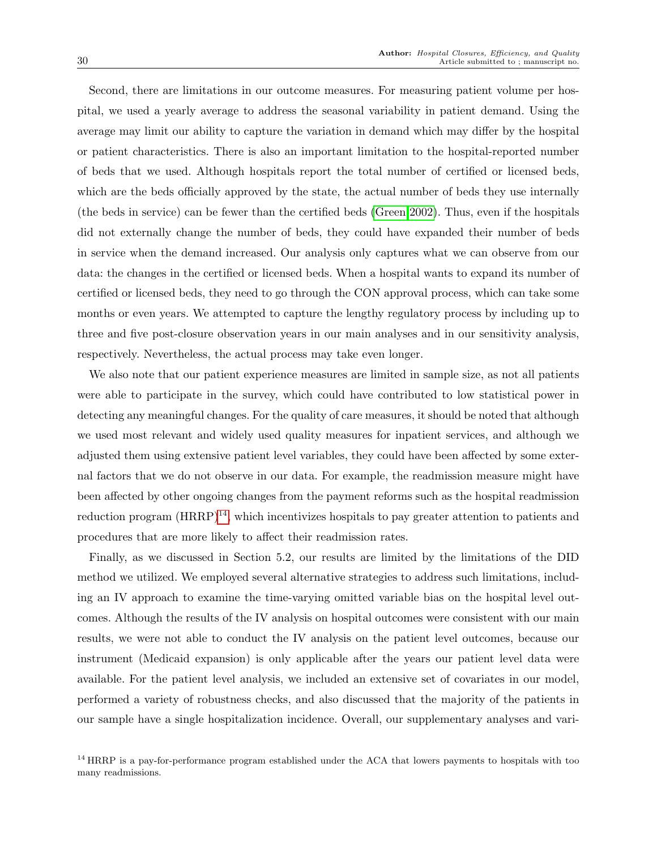Second, there are limitations in our outcome measures. For measuring patient volume per hospital, we used a yearly average to address the seasonal variability in patient demand. Using the average may limit our ability to capture the variation in demand which may differ by the hospital or patient characteristics. There is also an important limitation to the hospital-reported number of beds that we used. Although hospitals report the total number of certified or licensed beds, which are the beds officially approved by the state, the actual number of beds they use internally (the beds in service) can be fewer than the certified beds [\(Green 2002\)](#page-31-35). Thus, even if the hospitals did not externally change the number of beds, they could have expanded their number of beds in service when the demand increased. Our analysis only captures what we can observe from our data: the changes in the certified or licensed beds. When a hospital wants to expand its number of certified or licensed beds, they need to go through the CON approval process, which can take some months or even years. We attempted to capture the lengthy regulatory process by including up to three and five post-closure observation years in our main analyses and in our sensitivity analysis, respectively. Nevertheless, the actual process may take even longer.

We also note that our patient experience measures are limited in sample size, as not all patients were able to participate in the survey, which could have contributed to low statistical power in detecting any meaningful changes. For the quality of care measures, it should be noted that although we used most relevant and widely used quality measures for inpatient services, and although we adjusted them using extensive patient level variables, they could have been affected by some external factors that we do not observe in our data. For example, the readmission measure might have been affected by other ongoing changes from the payment reforms such as the hospital readmission reduction program  $(HRRP)^{14}$  $(HRRP)^{14}$  $(HRRP)^{14}$ , which incentivizes hospitals to pay greater attention to patients and procedures that are more likely to affect their readmission rates.

Finally, as we discussed in Section 5.2, our results are limited by the limitations of the DID method we utilized. We employed several alternative strategies to address such limitations, including an IV approach to examine the time-varying omitted variable bias on the hospital level outcomes. Although the results of the IV analysis on hospital outcomes were consistent with our main results, we were not able to conduct the IV analysis on the patient level outcomes, because our instrument (Medicaid expansion) is only applicable after the years our patient level data were available. For the patient level analysis, we included an extensive set of covariates in our model, performed a variety of robustness checks, and also discussed that the majority of the patients in our sample have a single hospitalization incidence. Overall, our supplementary analyses and vari-

<span id="page-29-0"></span><sup>&</sup>lt;sup>14</sup> HRRP is a pay-for-performance program established under the ACA that lowers payments to hospitals with too many readmissions.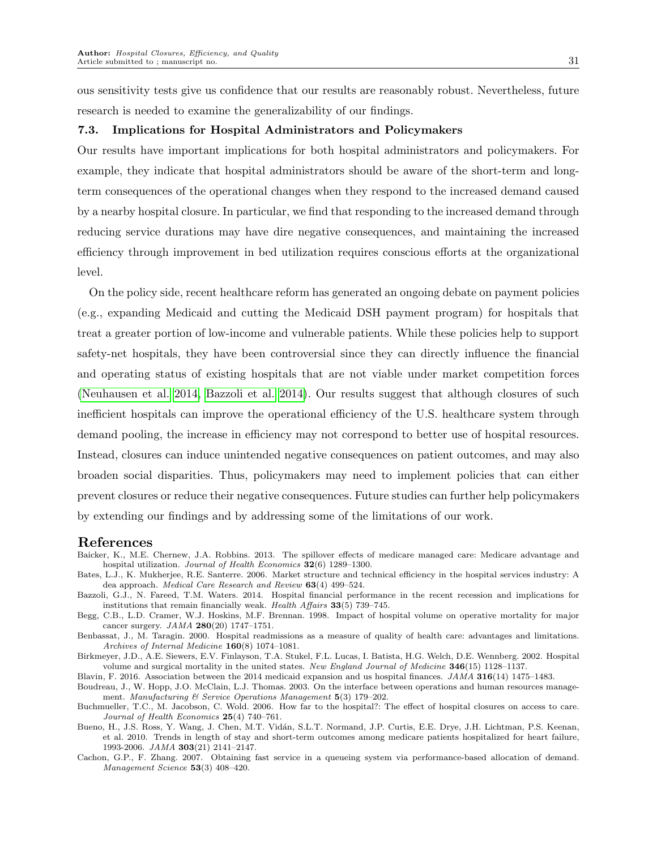ous sensitivity tests give us confidence that our results are reasonably robust. Nevertheless, future research is needed to examine the generalizability of our findings.

## 7.3. Implications for Hospital Administrators and Policymakers

Our results have important implications for both hospital administrators and policymakers. For example, they indicate that hospital administrators should be aware of the short-term and longterm consequences of the operational changes when they respond to the increased demand caused by a nearby hospital closure. In particular, we find that responding to the increased demand through reducing service durations may have dire negative consequences, and maintaining the increased efficiency through improvement in bed utilization requires conscious efforts at the organizational level.

On the policy side, recent healthcare reform has generated an ongoing debate on payment policies (e.g., expanding Medicaid and cutting the Medicaid DSH payment program) for hospitals that treat a greater portion of low-income and vulnerable patients. While these policies help to support safety-net hospitals, they have been controversial since they can directly influence the financial and operating status of existing hospitals that are not viable under market competition forces [\(Neuhausen et al. 2014,](#page-32-27) [Bazzoli et al. 2014\)](#page-30-0). Our results suggest that although closures of such inefficient hospitals can improve the operational efficiency of the U.S. healthcare system through demand pooling, the increase in efficiency may not correspond to better use of hospital resources. Instead, closures can induce unintended negative consequences on patient outcomes, and may also broaden social disparities. Thus, policymakers may need to implement policies that can either prevent closures or reduce their negative consequences. Future studies can further help policymakers by extending our findings and by addressing some of the limitations of our work.

#### References

- <span id="page-30-8"></span>Baicker, K., M.E. Chernew, J.A. Robbins. 2013. The spillover effects of medicare managed care: Medicare advantage and hospital utilization. Journal of Health Economics 32(6) 1289–1300.
- <span id="page-30-6"></span>Bates, L.J., K. Mukherjee, R.E. Santerre. 2006. Market structure and technical efficiency in the hospital services industry: A dea approach. Medical Care Research and Review 63(4) 499-524.
- <span id="page-30-0"></span>Bazzoli, G.J., N. Fareed, T.M. Waters. 2014. Hospital financial performance in the recent recession and implications for institutions that remain financially weak. Health Affairs 33(5) 739–745.
- <span id="page-30-5"></span>Begg, C.B., L.D. Cramer, W.J. Hoskins, M.F. Brennan. 1998. Impact of hospital volume on operative mortality for major cancer surgery. JAMA 280(20) 1747–1751.
- <span id="page-30-3"></span>Benbassat, J., M. Taragin. 2000. Hospital readmissions as a measure of quality of health care: advantages and limitations. Archives of Internal Medicine 160(8) 1074–1081.
- <span id="page-30-2"></span>Birkmeyer, J.D., A.E. Siewers, E.V. Finlayson, T.A. Stukel, F.L. Lucas, I. Batista, H.G. Welch, D.E. Wennberg. 2002. Hospital volume and surgical mortality in the united states. New England Journal of Medicine 346(15) 1128–1137.

<span id="page-30-9"></span>Blavin, F. 2016. Association between the 2014 medicaid expansion and us hospital finances. JAMA 316(14) 1475–1483.

- <span id="page-30-7"></span>Boudreau, J., W. Hopp, J.O. McClain, L.J. Thomas. 2003. On the interface between operations and human resources management. Manufacturing & Service Operations Management 5(3) 179-202.
- <span id="page-30-1"></span>Buchmueller, T.C., M. Jacobson, C. Wold. 2006. How far to the hospital?: The effect of hospital closures on access to care. Journal of Health Economics 25(4) 740–761.
- <span id="page-30-10"></span>Bueno, H., J.S. Ross, Y. Wang, J. Chen, M.T. Vidán, S.L.T. Normand, J.P. Curtis, E.E. Drye, J.H. Lichtman, P.S. Keenan, et al. 2010. Trends in length of stay and short-term outcomes among medicare patients hospitalized for heart failure, 1993-2006. JAMA 303(21) 2141–2147.
- <span id="page-30-4"></span>Cachon, G.P., F. Zhang. 2007. Obtaining fast service in a queueing system via performance-based allocation of demand. Management Science 53(3) 408–420.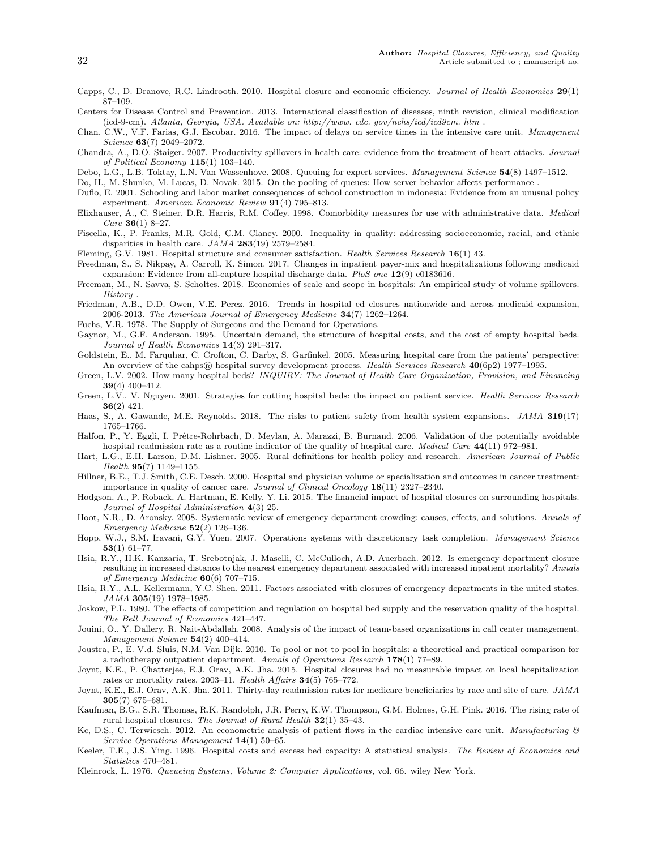- <span id="page-31-2"></span>Capps, C., D. Dranove, R.C. Lindrooth. 2010. Hospital closure and economic efficiency. Journal of Health Economics 29(1) 87–109.
- <span id="page-31-29"></span>Centers for Disease Control and Prevention. 2013. International classification of diseases, ninth revision, clinical modification (icd-9-cm). Atlanta, Georgia, USA. Available on: http://www. cdc. gov/nchs/icd/icd9cm. htm .
- <span id="page-31-10"></span>Chan, C.W., V.F. Farias, G.J. Escobar. 2016. The impact of delays on service times in the intensive care unit. Management Science 63(7) 2049–2072.
- <span id="page-31-8"></span>Chandra, A., D.O. Staiger. 2007. Productivity spillovers in health care: evidence from the treatment of heart attacks. Journal of Political Economy  $115(1)$  103-140.
- <span id="page-31-19"></span>Debo, L.G., L.B. Toktay, L.N. Van Wassenhove. 2008. Queuing for expert services. Management Science 54(8) 1497-1512.
- <span id="page-31-26"></span>Do, H., M. Shunko, M. Lucas, D. Novak. 2015. On the pooling of queues: How server behavior affects performance .
- <span id="page-31-32"></span>Duflo, E. 2001. Schooling and labor market consequences of school construction in indonesia: Evidence from an unusual policy experiment. American Economic Review 91(4) 795-813.
- <span id="page-31-27"></span>Elixhauser, A., C. Steiner, D.R. Harris, R.M. Coffey. 1998. Comorbidity measures for use with administrative data. Medical Care  $36(1)$  8–27.
- <span id="page-31-31"></span>Fiscella, K., P. Franks, M.R. Gold, C.M. Clancy. 2000. Inequality in quality: addressing socioeconomic, racial, and ethnic disparities in health care.  $JAMA$   $283(19)$   $2579-2584$ .
- <span id="page-31-5"></span>Fleming, G.V. 1981. Hospital structure and consumer satisfaction. Health Services Research 16(1) 43.
- <span id="page-31-33"></span>Freedman, S., S. Nikpay, A. Carroll, K. Simon. 2017. Changes in inpatient payer-mix and hospitalizations following medicaid expansion: Evidence from all-capture hospital discharge data. PloS one 12(9) e0183616.
- <span id="page-31-25"></span>Freeman, M., N. Savva, S. Scholtes. 2018. Economies of scale and scope in hospitals: An empirical study of volume spillovers. History .
- <span id="page-31-1"></span>Friedman, A.B., D.D. Owen, V.E. Perez. 2016. Trends in hospital ed closures nationwide and across medicaid expansion, 2006-2013. The American Journal of Emergency Medicine 34(7) 1262–1264.
- <span id="page-31-16"></span>Fuchs, V.R. 1978. The Supply of Surgeons and the Demand for Operations.
- <span id="page-31-12"></span>Gaynor, M., G.F. Anderson. 1995. Uncertain demand, the structure of hospital costs, and the cost of empty hospital beds. Journal of Health Economics 14(3) 291–317.
- <span id="page-31-28"></span>Goldstein, E., M. Farquhar, C. Crofton, C. Darby, S. Garfinkel. 2005. Measuring hospital care from the patients' perspective: An overview of the cahps (a) hospital survey development process. Health Services Research 40(6p2) 1977–1995.
- <span id="page-31-35"></span>Green, L.V. 2002. How many hospital beds? INQUIRY: The Journal of Health Care Organization, Provision, and Financing 39(4) 400–412.
- <span id="page-31-17"></span>Green, L.V., V. Nguyen. 2001. Strategies for cutting hospital beds: the impact on patient service. Health Services Research 36(2) 421.
- <span id="page-31-9"></span>Haas, S., A. Gawande, M.E. Reynolds. 2018. The risks to patient safety from health system expansions. JAMA 319(17) 1765–1766.
- <span id="page-31-23"></span>Halfon, P., Y. Eggli, I. Prêtre-Rohrbach, D. Meylan, A. Marazzi, B. Burnand. 2006. Validation of the potentially avoidable hospital readmission rate as a routine indicator of the quality of hospital care. Medical Care 44(11) 972-981.
- <span id="page-31-30"></span>Hart, L.G., E.H. Larson, D.M. Lishner. 2005. Rural definitions for health policy and research. American Journal of Public Health 95(7) 1149–1155.
- <span id="page-31-22"></span>Hillner, B.E., T.J. Smith, C.E. Desch. 2000. Hospital and physician volume or specialization and outcomes in cancer treatment: importance in quality of cancer care. Journal of Clinical Oncology 18(11) 2327–2340.
- <span id="page-31-24"></span>Hodgson, A., P. Roback, A. Hartman, E. Kelly, Y. Li. 2015. The financial impact of hospital closures on surrounding hospitals. Journal of Hospital Administration 4(3) 25.
- <span id="page-31-6"></span>Hoot, N.R., D. Aronsky. 2008. Systematic review of emergency department crowding: causes, effects, and solutions. Annals of Emergency Medicine  $52(2)$  126-136.
- <span id="page-31-15"></span>Hopp, W.J., S.M. Iravani, G.Y. Yuen. 2007. Operations systems with discretionary task completion. Management Science 53 $(1)$  61-77.
- <span id="page-31-3"></span>Hsia, R.Y., H.K. Kanzaria, T. Srebotnjak, J. Maselli, C. McCulloch, A.D. Auerbach. 2012. Is emergency department closure resulting in increased distance to the nearest emergency department associated with increased inpatient mortality? Annals of Emergency Medicine  $60(6)$  707-715.
- <span id="page-31-13"></span>Hsia, R.Y., A.L. Kellermann, Y.C. Shen. 2011. Factors associated with closures of emergency departments in the united states. JAMA 305(19) 1978–1985.
- <span id="page-31-18"></span>Joskow, P.L. 1980. The effects of competition and regulation on hospital bed supply and the reservation quality of the hospital. The Bell Journal of Economics 421–447.
- <span id="page-31-20"></span>Jouini, O., Y. Dallery, R. Nait-Abdallah. 2008. Analysis of the impact of team-based organizations in call center management. Management Science 54(2) 400–414.
- <span id="page-31-14"></span>Joustra, P., E. V.d. Sluis, N.M. Van Dijk. 2010. To pool or not to pool in hospitals: a theoretical and practical comparison for a radiotherapy outpatient department. Annals of Operations Research 178(1) 77–89.
- <span id="page-31-7"></span>Joynt, K.E., P. Chatterjee, E.J. Orav, A.K. Jha. 2015. Hospital closures had no measurable impact on local hospitalization rates or mortality rates, 2003–11. Health Affairs 34(5) 765–772.
- <span id="page-31-34"></span>Joynt, K.E., E.J. Orav, A.K. Jha. 2011. Thirty-day readmission rates for medicare beneficiaries by race and site of care. JAMA 305(7) 675–681.
- <span id="page-31-0"></span>Kaufman, B.G., S.R. Thomas, R.K. Randolph, J.R. Perry, K.W. Thompson, G.M. Holmes, G.H. Pink. 2016. The rising rate of rural hospital closures. The Journal of Rural Health  $32(1)$  35–43.
- <span id="page-31-21"></span>Kc, D.S., C. Terwiesch. 2012. An econometric analysis of patient flows in the cardiac intensive care unit. Manufacturing  $\Theta$ Service Operations Management 14(1) 50–65.
- <span id="page-31-11"></span>Keeler, T.E., J.S. Ying. 1996. Hospital costs and excess bed capacity: A statistical analysis. The Review of Economics and Statistics 470–481.
- <span id="page-31-4"></span>Kleinrock, L. 1976. Queueing Systems, Volume 2: Computer Applications, vol. 66. wiley New York.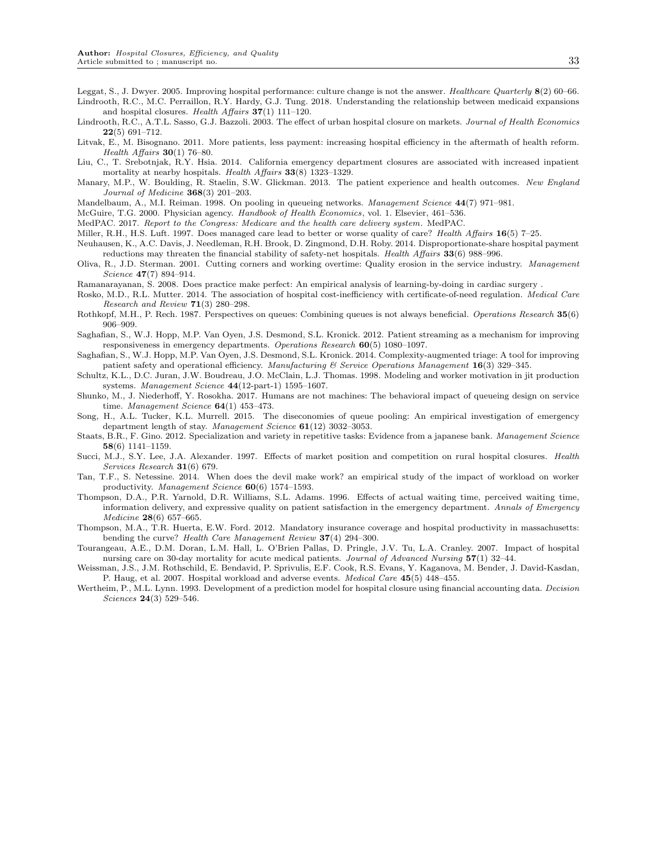<span id="page-32-26"></span><span id="page-32-25"></span>Leggat, S., J. Dwyer. 2005. Improving hospital performance: culture change is not the answer. Healthcare Quarterly 8(2) 60–66. Lindrooth, R.C., M.C. Perraillon, R.Y. Hardy, G.J. Tung. 2018. Understanding the relationship between medicaid expansions and hospital closures. Health Affairs 37(1) 111–120.

- <span id="page-32-2"></span>Lindrooth, R.C., A.T.L. Sasso, G.J. Bazzoli. 2003. The effect of urban hospital closure on markets. Journal of Health Economics  $22(5)$  691-712.
- <span id="page-32-12"></span>Litvak, E., M. Bisognano. 2011. More patients, less payment: increasing hospital efficiency in the aftermath of health reform. Health Affairs  $30(1)$  76–80.

<span id="page-32-3"></span>Liu, C., T. Srebotnjak, R.Y. Hsia. 2014. California emergency department closures are associated with increased inpatient mortality at nearby hospitals. Health Affairs 33(8) 1323-1329.

<span id="page-32-23"></span>Manary, M.P., W. Boulding, R. Staelin, S.W. Glickman. 2013. The patient experience and health outcomes. New England Journal of Medicine 368(3) 201–203.

<span id="page-32-4"></span>Mandelbaum, A., M.I. Reiman. 1998. On pooling in queueing networks. Management Science 44(7) 971–981.

- <span id="page-32-11"></span>McGuire, T.G. 2000. Physician agency. Handbook of Health Economics, vol. 1. Elsevier, 461–536.
- <span id="page-32-0"></span>MedPAC. 2017. Report to the Congress: Medicare and the health care delivery system. MedPAC.
- <span id="page-32-24"></span>Miller, R.H., H.S. Luft. 1997. Does managed care lead to better or worse quality of care? Health Affairs 16(5) 7–25.
- <span id="page-32-27"></span>Neuhausen, K., A.C. Davis, J. Needleman, R.H. Brook, D. Zingmond, D.H. Roby. 2014. Disproportionate-share hospital payment reductions may threaten the financial stability of safety-net hospitals. Health Affairs 33(6) 988–996.
- <span id="page-32-14"></span>Oliva, R., J.D. Sterman. 2001. Cutting corners and working overtime: Quality erosion in the service industry. Management Science **47**(7) 894-914.
- <span id="page-32-5"></span>Ramanarayanan, S. 2008. Does practice make perfect: An empirical analysis of learning-by-doing in cardiac surgery .
- <span id="page-32-19"></span>Rosko, M.D., R.L. Mutter. 2014. The association of hospital cost-inefficiency with certificate-of-need regulation. Medical Care Research and Review  $71(3)$  280-298.
- <span id="page-32-21"></span>Rothkopf, M.H., P. Rech. 1987. Perspectives on queues: Combining queues is not always beneficial. Operations Research 35(6) 906–909.
- <span id="page-32-7"></span>Saghafian, S., W.J. Hopp, M.P. Van Oyen, J.S. Desmond, S.L. Kronick. 2012. Patient streaming as a mechanism for improving responsiveness in emergency departments. Operations Research 60(5) 1080–1097.
- <span id="page-32-8"></span>Saghafian, S., W.J. Hopp, M.P. Van Oyen, J.S. Desmond, S.L. Kronick. 2014. Complexity-augmented triage: A tool for improving patient safety and operational efficiency. Manufacturing  $\mathcal B$  Service Operations Management 16(3) 329–345.
- <span id="page-32-22"></span>Schultz, K.L., D.C. Juran, J.W. Boudreau, J.O. McClain, L.J. Thomas. 1998. Modeling and worker motivation in jit production systems. Management Science 44(12-part-1) 1595–1607.
- <span id="page-32-15"></span>Shunko, M., J. Niederhoff, Y. Rosokha. 2017. Humans are not machines: The behavioral impact of queueing design on service time. Management Science  $64(1)$  453-473.
- <span id="page-32-10"></span>Song, H., A.L. Tucker, K.L. Murrell. 2015. The diseconomies of queue pooling: An empirical investigation of emergency department length of stay. Management Science  $61(12)$  3032-3053.
- <span id="page-32-9"></span>Staats, B.R., F. Gino. 2012. Specialization and variety in repetitive tasks: Evidence from a japanese bank. Management Science 58(6) 1141–1159.
- <span id="page-32-6"></span>Succi, M.J., S.Y. Lee, J.A. Alexander. 1997. Effects of market position and competition on rural hospital closures. Health Services Research 31(6) 679.
- <span id="page-32-13"></span>Tan, T.F., S. Netessine. 2014. When does the devil make work? an empirical study of the impact of workload on worker productivity. Management Science 60(6) 1574–1593.
- <span id="page-32-17"></span>Thompson, D.A., P.R. Yarnold, D.R. Williams, S.L. Adams. 1996. Effects of actual waiting time, perceived waiting time, information delivery, and expressive quality on patient satisfaction in the emergency department. Annals of Emergency Medicine 28(6) 657–665.
- <span id="page-32-20"></span>Thompson, M.A., T.R. Huerta, E.W. Ford. 2012. Mandatory insurance coverage and hospital productivity in massachusetts: bending the curve? Health Care Management Review 37(4) 294-300.
- <span id="page-32-18"></span>Tourangeau, A.E., D.M. Doran, L.M. Hall, L. O'Brien Pallas, D. Pringle, J.V. Tu, L.A. Cranley. 2007. Impact of hospital nursing care on 30-day mortality for acute medical patients. Journal of Advanced Nursing 57(1) 32-44.
- <span id="page-32-16"></span>Weissman, J.S., J.M. Rothschild, E. Bendavid, P. Sprivulis, E.F. Cook, R.S. Evans, Y. Kaganova, M. Bender, J. David-Kasdan, P. Haug, et al. 2007. Hospital workload and adverse events. Medical Care 45(5) 448–455.
- <span id="page-32-1"></span>Wertheim, P., M.L. Lynn. 1993. Development of a prediction model for hospital closure using financial accounting data. Decision Sciences **24**(3) 529-546.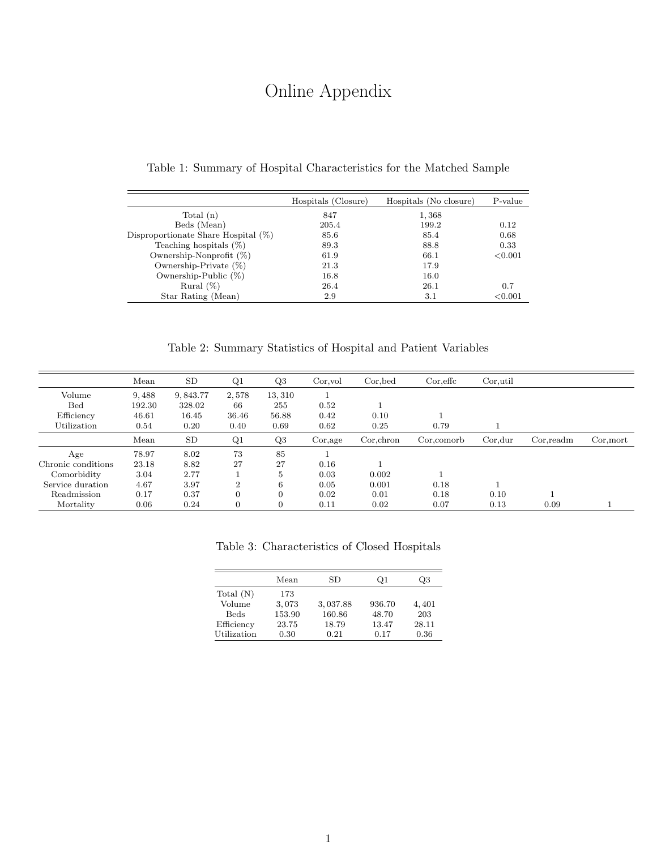# Online Appendix

|                                        | Hospitals (Closure) | Hospitals (No closure) | P-value |
|----------------------------------------|---------------------|------------------------|---------|
| Total $(n)$                            | 847                 | 1,368                  |         |
| Beds (Mean)                            | 205.4               | 199.2                  | 0.12    |
| Disproportionate Share Hospital $(\%)$ | 85.6                | 85.4                   | 0.68    |
| Teaching hospitals $(\%)$              | 89.3                | 88.8                   | 0.33    |
| Ownership-Nonprofit $(\%)$             | 61.9                | 66.1                   | < 0.001 |
| Ownership-Private $(\%)$               | 21.3                | 17.9                   |         |
| Ownership-Public $(\%)$                | 16.8                | 16.0                   |         |
| Rural $(\%)$                           | 26.4                | 26.1                   | 0.7     |
| Star Rating (Mean)                     | 2.9                 | 3.1                    | < 0.001 |

## Table 1: Summary of Hospital Characteristics for the Matched Sample

Table 2: Summary Statistics of Hospital and Patient Variables

|                    | Mean   | <b>SD</b> | Q <sub>1</sub> | Q3             | Cor.vol  | Cor.bed    | $Cor.$ eff $c$ | Cor, util  |            |           |
|--------------------|--------|-----------|----------------|----------------|----------|------------|----------------|------------|------------|-----------|
| Volume             | 9,488  | 9,843.77  | 2,578          | 13.310         |          |            |                |            |            |           |
| <b>Bed</b>         | 192.30 | 328.02    | 66             | 255            | 0.52     |            |                |            |            |           |
| Efficiency         | 46.61  | 16.45     | 36.46          | 56.88          | 0.42     | 0.10       |                |            |            |           |
| Utilization        | 0.54   | 0.20      | 0.40           | 0.69           | 0.62     | 0.25       | 0.79           |            |            |           |
|                    | Mean   | SD        | Q <sub>1</sub> | Q3             | Cor, age | Cor, chron | Cor, comorb    | $Cor.$ dur | Cor, readm | Cor, mort |
| Age                | 78.97  | 8.02      | 73             | 85             |          |            |                |            |            |           |
| Chronic conditions | 23.18  | 8.82      | 27             | 27             | 0.16     |            |                |            |            |           |
| Comorbidity        | 3.04   | 2.77      |                | 5              | 0.03     | 0.002      |                |            |            |           |
| Service duration   | 4.67   | 3.97      | $\overline{2}$ | 6              | 0.05     | 0.001      | 0.18           |            |            |           |
| Readmission        | 0.17   | 0.37      | 0              | $\overline{0}$ | 0.02     | 0.01       | 0.18           | 0.10       |            |           |
| Mortality          | 0.06   | 0.24      | $\overline{0}$ | $\mathbf{0}$   | 0.11     | 0.02       | 0.07           | 0.13       | 0.09       |           |

Table 3: Characteristics of Closed Hospitals

|             | Mean   | SD       | Q1     | Q3    |
|-------------|--------|----------|--------|-------|
| Total $(N)$ | 173    |          |        |       |
| Volume      | 3,073  | 3,037.88 | 936.70 | 4,401 |
| <b>Beds</b> | 153.90 | 160.86   | 48.70  | 203   |
| Efficiency  | 23.75  | 18.79    | 13.47  | 28.11 |
| Utilization | 0.30   | 0.21     | 0.17   | 0.36  |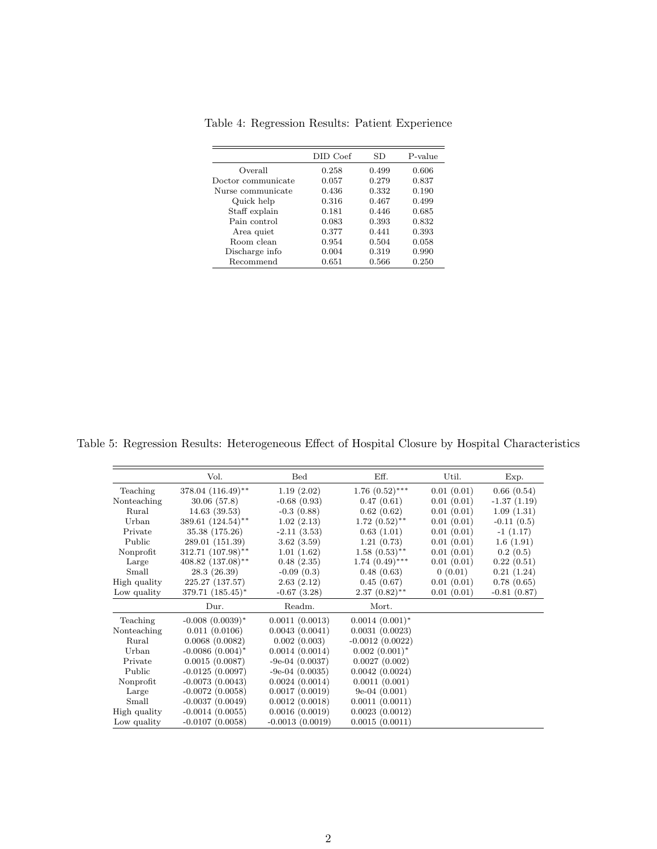|                    | DID Coef | SD    | P-value |
|--------------------|----------|-------|---------|
| Overall            | 0.258    | 0.499 | 0.606   |
| Doctor communicate | 0.057    | 0.279 | 0.837   |
| Nurse communicate  | 0.436    | 0.332 | 0.190   |
| Quick help         | 0.316    | 0.467 | 0.499   |
| Staff explain      | 0.181    | 0.446 | 0.685   |
| Pain control       | 0.083    | 0.393 | 0.832   |
| Area quiet         | 0.377    | 0.441 | 0.393   |
| Room clean         | 0.954    | 0.504 | 0.058   |
| Discharge info     | 0.004    | 0.319 | 0.990   |
| Recommend          | 0.651    | 0.566 | 0.250   |

Table 4: Regression Results: Patient Experience

Table 5: Regression Results: Heterogeneous Effect of Hospital Closure by Hospital Characteristics

|              | Vol.                             | <b>Bed</b>        | Eff.                | Util.      | Exp.          |
|--------------|----------------------------------|-------------------|---------------------|------------|---------------|
| Teaching     | 378.04 (116.49)**                | 1.19(2.02)        | $1.76$ $(0.52)$ *** | 0.01(0.01) | 0.66(0.54)    |
| Nonteaching  | 30.06(57.8)                      | $-0.68(0.93)$     | 0.47(0.61)          | 0.01(0.01) | $-1.37(1.19)$ |
| Rural        | 14.63(39.53)                     | $-0.3(0.88)$      | 0.62(0.62)          | 0.01(0.01) | 1.09(1.31)    |
| Urban        | 389.61 (124.54)**                | 1.02(2.13)        | $1.72(0.52)$ **     | 0.01(0.01) | $-0.11(0.5)$  |
| Private      | 35.38 (175.26)                   | $-2.11(3.53)$     | 0.63(1.01)          | 0.01(0.01) | $-1(1.17)$    |
| Public       | 289.01 (151.39)                  | 3.62(3.59)        | 1.21(0.73)          | 0.01(0.01) | 1.6(1.91)     |
| Nonprofit    | 312.71 (107.98)**                | 1.01(1.62)        | $1.58(0.53)$ **     | 0.01(0.01) | 0.2(0.5)      |
| Large        | 408.82 (137.08)**                | 0.48(2.35)        | $1.74(0.49)$ ***    | 0.01(0.01) | 0.22(0.51)    |
| Small        | 28.3 (26.39)                     | $-0.09(0.3)$      | 0.48(0.63)          | 0(0.01)    | 0.21(1.24)    |
| High quality | 225.27 (137.57)                  | 2.63(2.12)        | 0.45(0.67)          | 0.01(0.01) | 0.78(0.65)    |
| Low quality  | $379.71~(185.45)^*$              | $-0.67(3.28)$     | $2.37(0.82)$ **     | 0.01(0.01) | $-0.81(0.87)$ |
|              | Dur.                             | Readm.            | Mort.               |            |               |
| Teaching     | $-0.008$ $(0.0039)$ <sup>*</sup> | 0.0011(0.0013)    | $0.0014~(0.001)^*$  |            |               |
| Nonteaching  | 0.011(0.0106)                    | 0.0043(0.0041)    | 0.0031(0.0023)      |            |               |
| Rural        | 0.0068(0.0082)                   | 0.002(0.003)      | $-0.0012(0.0022)$   |            |               |
| Urban        | $-0.0086(0.004)^*$               | 0.0014(0.0014)    | $0.002$ $(0.001)^*$ |            |               |
| Private      | 0.0015(0.0087)                   | $-9e-04(0.0037)$  | 0.0027(0.002)       |            |               |
| Public       | $-0.0125(0.0097)$                | $-9e-04(0.0035)$  | 0.0042(0.0024)      |            |               |
| Nonprofit    | $-0.0073(0.0043)$                | 0.0024(0.0014)    | 0.0011(0.001)       |            |               |
| Large        | $-0.0072(0.0058)$                | 0.0017(0.0019)    | $9e-04(0.001)$      |            |               |
| Small        | $-0.0037(0.0049)$                | 0.0012(0.0018)    | 0.0011(0.0011)      |            |               |
| High quality | $-0.0014(0.0055)$                | 0.0016(0.0019)    | 0.0023(0.0012)      |            |               |
| Low quality  | $-0.0107(0.0058)$                | $-0.0013(0.0019)$ | 0.0015(0.0011)      |            |               |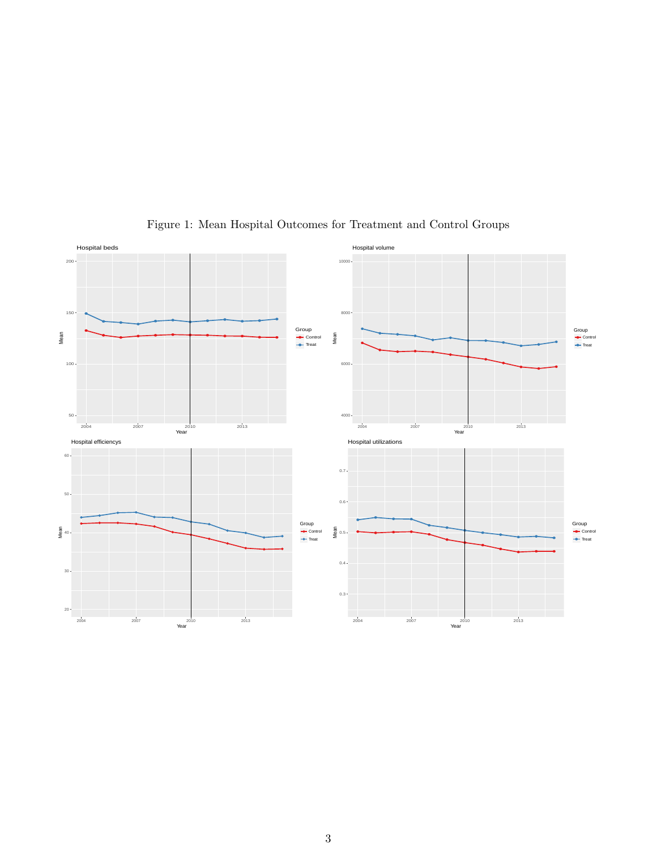

# Figure 1: Mean Hospital Outcomes for Treatment and Control Groups